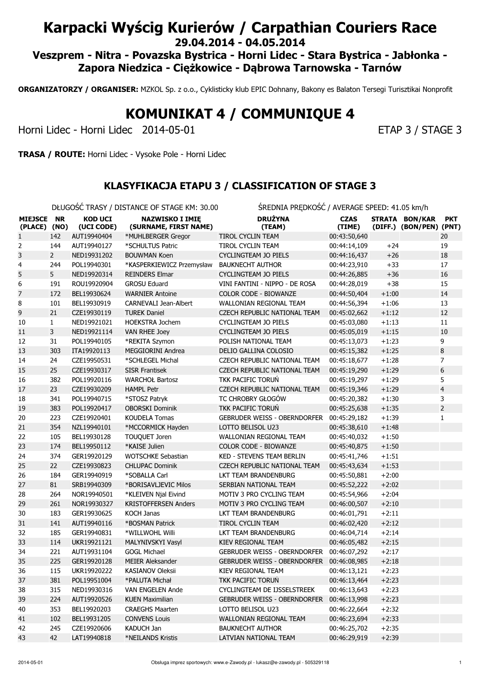# Karpacki Wyścig Kurierów / Carpathian Couriers Race

29.04.2014 - 04.05.2014

Veszprem - Nitra - Povazska Bystrica - Horni Lidec - Stara Bystrica - Jabłonka - Zapora Niedzica - Ciężkowice - Dąbrowa Tarnowska - Tarnów

ORGANIZATORZY / ORGANISER: MZKOL Sp. z o.o., Cyklisticky klub EPIC Dohnany, Bakony es Balaton Tersegi Turisztikai Nonprofit

# KOMUNIKAT 4 / COMMUNIQUE 4

Horni Lidec - Horni Lidec 2014-05-01 ETAP 3 / STAGE 3

TRASA / ROUTE: Horni Lidec - Vysoke Pole - Horni Lidec

#### KLASYFIKACJA ETAPU 3 / CLASSIFICATION OF STAGE 3

DŁUGOŚĆ TRASY / DISTANCE OF STAGE KM: 30.00 ŚREDNIA PRĘDKOŚĆ / AVERAGE SPEED: 41.05 km/h

|                            |                |                              | <b>DEOOOOC TIVIOT / DISTRIKEE OF STADE INTI-S0.00</b> | SILLDINIA I INCONOSC / AVENAUL SI LLD. 11.05 MII/II |                       |         |                                           |                |
|----------------------------|----------------|------------------------------|-------------------------------------------------------|-----------------------------------------------------|-----------------------|---------|-------------------------------------------|----------------|
| MIEJSCE NR<br>(PLACE) (NO) |                | <b>KOD UCI</b><br>(UCI CODE) | <b>NAZWISKO I IMIĘ</b><br>(SURNAME, FIRST NAME)       | <b>DRUŻYNA</b><br>(TEAM)                            | <b>CZAS</b><br>(TIME) |         | STRATA BON/KAR<br>(DIFF.) (BON/PEN) (PNT) | <b>PKT</b>     |
| 1                          | 142            | AUT19940404                  | *MUHLBERGER Gregor                                    | <b>TIROL CYCLIN TEAM</b>                            | 00:43:50,640          |         |                                           | 20             |
| 2                          | 144            | AUT19940127                  | *SCHULTUS Patric                                      | TIROL CYCLIN TEAM                                   | 00:44:14,109          | $+24$   |                                           | 19             |
| 3                          | $\overline{2}$ | NED19931202                  | <b>BOUWMAN Koen</b>                                   | CYCLINGTEAM JO PIELS                                | 00:44:16,437          | $+26$   |                                           | 18             |
| 4                          | 244            | POL19940301                  | *KASPERKIEWICZ Przemysław                             | <b>BAUKNECHT AUTHOR</b>                             | 00:44:23,910          | $+33$   |                                           | 17             |
| 5                          | 5              | NED19920314                  | <b>REINDERS Elmar</b>                                 | CYCLINGTEAM JO PIELS                                | 00:44:26,885          | $+36$   |                                           | 16             |
| 6                          | 191            | ROU19920904                  | <b>GROSU Eduard</b>                                   | VINI FANTINI - NIPPO - DE ROSA                      | 00:44:28,019          | $+38$   |                                           | 15             |
| 7                          | 172            | BEL19930624                  | <b>WARNIER Antoine</b>                                | <b>COLOR CODE - BIOWANZE</b>                        | 00:44:50,404          | $+1:00$ |                                           | 14             |
| 8                          | 101            | BEL19930919                  | CARNEVALI Jean-Albert                                 | WALLONIAN REGIONAL TEAM                             | 00:44:56,394          | $+1:06$ |                                           | 13             |
| 9                          | 21             | CZE19930119                  | <b>TUREK Daniel</b>                                   | <b>CZECH REPUBLIC NATIONAL TEAM</b>                 | 00:45:02,662          | $+1:12$ |                                           | 12             |
| 10                         | $\mathbf{1}$   | NED19921021                  | <b>HOEKSTRA Jochem</b>                                | CYCLINGTEAM JO PIELS                                | 00:45:03,080          | $+1:13$ |                                           | 11             |
| 11                         | 3              | NED19921114                  | <b>VAN RHEE Joey</b>                                  | CYCLINGTEAM JO PIELS                                | 00:45:05,019          | $+1:15$ |                                           | 10             |
| 12                         | 31             | POL19940105                  | *REKITA Szymon                                        | POLISH NATIONAL TEAM                                | 00:45:13,073          | $+1:23$ |                                           | 9              |
| 13                         | 303            | ITA19920113                  | <b>MEGGIORINI Andrea</b>                              | DELIO GALLINA COLOSIO                               | 00:45:15,382          | $+1:25$ |                                           | 8              |
| 14                         | 24             | CZE19950531                  | *SCHLEGEL Michal                                      | CZECH REPUBLIC NATIONAL TEAM                        | 00:45:18,677          | $+1:28$ |                                           | $\overline{7}$ |
| 15                         | 25             | CZE19930317                  | <b>SISR Frantisek</b>                                 | CZECH REPUBLIC NATIONAL TEAM                        | 00:45:19,290          | $+1:29$ |                                           | 6              |
| 16                         | 382            | POL19920116                  | <b>WARCHOŁ Bartosz</b>                                | TKK PACIFIC TORUN                                   | 00:45:19,297          | $+1:29$ |                                           | 5              |
| 17                         | 23             | CZE19930209                  | <b>HAMPL Petr</b>                                     | CZECH REPUBLIC NATIONAL TEAM                        | 00:45:19,346          | $+1:29$ |                                           | 4              |
| 18                         | 341            | POL19940715                  | *STOSZ Patryk                                         | TC CHROBRY GŁOGÓW                                   | 00:45:20,382          | $+1:30$ |                                           | 3              |
| 19                         | 383            | POL19920417                  | <b>OBORSKI Dominik</b>                                | <b>TKK PACIFIC TORUŃ</b>                            | 00:45:25,638          | $+1:35$ |                                           | $\overline{2}$ |
| 20                         | 223            | CZE19920401                  | <b>KOUDELA Tomas</b>                                  | <b>GEBRUDER WEISS - OBERNDORFER</b>                 | 00:45:29,182          | $+1:39$ |                                           | $\mathbf{1}$   |
| 21                         | 354            | NZL19940101                  | *MCCORMICK Hayden                                     | LOTTO BELISOL U23                                   | 00:45:38,610          | $+1:48$ |                                           |                |
| 22                         | 105            | BEL19930128                  | TOUQUET Joren                                         | WALLONIAN REGIONAL TEAM                             | 00:45:40,032          | $+1:50$ |                                           |                |
| 23                         | 174            | BEL19950112                  | *KAISE Julien                                         | COLOR CODE - BIOWANZE                               | 00:45:40,875          | $+1:50$ |                                           |                |
| 24                         | 374            | GER19920129                  | <b>WOTSCHKE Sebastian</b>                             | <b>KED - STEVENS TEAM BERLIN</b>                    | 00:45:41,746          | $+1:51$ |                                           |                |
| 25                         | 22             | CZE19930823                  | <b>CHLUPAC Dominik</b>                                | <b>CZECH REPUBLIC NATIONAL TEAM</b>                 | 00:45:43,634          | $+1:53$ |                                           |                |
| 26                         | 184            | GER19940919                  | *SOBALLA Carl                                         | LKT TEAM BRANDENBURG                                | 00:45:50,881          | $+2:00$ |                                           |                |
| 27                         | 81             | SRB19940309                  | *BORISAVLJEVIC Milos                                  | SERBIAN NATIONAL TEAM                               | 00:45:52,222          | $+2:02$ |                                           |                |
| 28                         | 264            | NOR19940501                  | *KLEIVEN Njal Eivind                                  | MOTIV 3 PRO CYCLING TEAM                            | 00:45:54,966          | $+2:04$ |                                           |                |
| 29                         | 261            | NOR19930327                  | <b>KRISTOFFERSEN Anders</b>                           | MOTIV 3 PRO CYCLING TEAM                            | 00:46:00,507          | $+2:10$ |                                           |                |
| 30                         | 183            | GER19930625                  | <b>KOCH Janas</b>                                     | LKT TEAM BRANDENBURG                                | 00:46:01,791          | $+2:11$ |                                           |                |
| 31                         | 141            | AUT19940116                  | *BOSMAN Patrick                                       | TIROL CYCLIN TEAM                                   | 00:46:02,420          | $+2:12$ |                                           |                |
| 32                         | 185            | GER19940831                  | *WILLWOHL Willi                                       | LKT TEAM BRANDENBURG                                | 00:46:04,714          | $+2:14$ |                                           |                |
| 33                         | 114            | UKR19921121                  | MALYNIVSKYI Vasyl                                     | <b>KIEV REGIONAL TEAM</b>                           | 00:46:05,482          | $+2:15$ |                                           |                |
| 34                         | 221            | AUT19931104                  | <b>GOGL Michael</b>                                   | <b>GEBRUDER WEISS - OBERNDORFER</b>                 | 00:46:07,292          | $+2:17$ |                                           |                |
| 35                         | 225            | GER19920128                  | <b>MEIER Aleksander</b>                               | GEBRUDER WEISS - OBERNDORFER 00:46:08,985           |                       | $+2:18$ |                                           |                |
| 36                         | 115            | UKR19920222                  | KASIANOV Oleksii                                      | KIEV REGIONAL TEAM                                  | 00:46:13,121          | $+2:23$ |                                           |                |
| 37                         | 381            | POL19951004                  | *PALUTA Michał                                        | TKK PACIFIC TORUN                                   | 00:46:13,464          | $+2:23$ |                                           |                |
| 38                         | 315            | NED19930316                  | VAN ENGELEN Ande                                      | CYCLINGTEAM DE IJSSELSTREEK                         | 00:46:13,643          | $+2:23$ |                                           |                |
| 39                         | 224            | AUT19920526                  | <b>KUEN Maximilian</b>                                | GEBRUDER WEISS - OBERNDORFER                        | 00:46:13,998          | $+2:23$ |                                           |                |
| 40                         | 353            | BEL19920203                  | <b>CRAEGHS Maarten</b>                                | LOTTO BELISOL U23                                   | 00:46:22,664          | $+2:32$ |                                           |                |
| 41                         | 102            | BEL19931205                  | <b>CONVENS Louis</b>                                  | WALLONIAN REGIONAL TEAM                             | 00:46:23,694          | $+2:33$ |                                           |                |
| 42                         | 245            | CZE19920606                  | <b>KADUCH Jan</b>                                     | <b>BAUKNECHT AUTHOR</b>                             | 00:46:25,702          | $+2:35$ |                                           |                |
| 43                         | 42             | LAT19940818                  | *NEILANDS Kristis                                     | LATVIAN NATIONAL TEAM                               | 00:46:29,919          | $+2:39$ |                                           |                |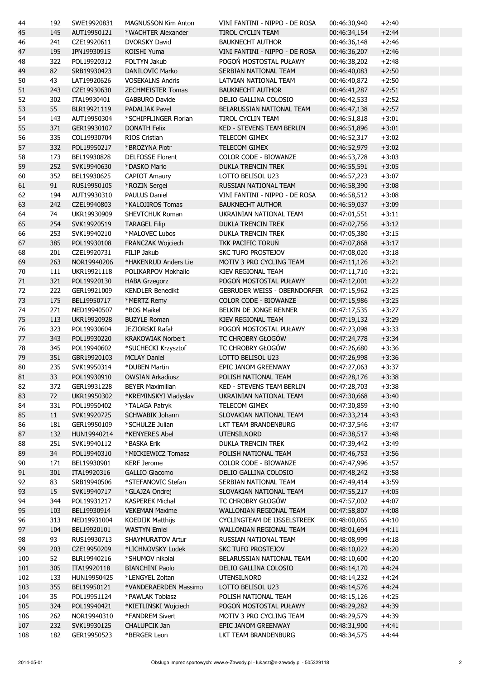| 44  | 192    | SWE19920831 | <b>MAGNUSSON Kim Anton</b>                  | VINI FANTINI - NIPPO - DE ROSA             | 00:46:30,940 | $+2:40$            |
|-----|--------|-------------|---------------------------------------------|--------------------------------------------|--------------|--------------------|
| 45  | 145    | AUT19950121 | *WACHTER Alexander                          | TIROL CYCLIN TEAM                          | 00:46:34,154 | $+2:44$            |
| 46  | 241    | CZE19920611 | <b>DVORSKY David</b>                        | <b>BAUKNECHT AUTHOR</b>                    | 00:46:36,148 | $+2:46$            |
| 47  | 195    | JPN19930915 | <b>KOISHI Yuma</b>                          | VINI FANTINI - NIPPO - DE ROSA             | 00:46:36,207 | $+2:46$            |
| 48  | 322    | POL19920312 | FOLTYN Jakub                                | POGOŃ MOSTOSTAL PUŁAWY                     | 00:46:38,202 | $+2:48$            |
| 49  | 82     | SRB19930423 | <b>DANILOVIC Marko</b>                      | SERBIAN NATIONAL TEAM                      | 00:46:40,083 | $+2:50$            |
| 50  | 43     | LAT19920626 | <b>VOSEKALNS Andris</b>                     | LATVIAN NATIONAL TEAM                      | 00:46:40,872 | $+2:50$            |
| 51  | 243    | CZE19930630 | <b>ZECHMEISTER Tomas</b>                    | <b>BAUKNECHT AUTHOR</b>                    | 00:46:41,287 | $+2:51$            |
| 52  | 302    | ITA19930401 | <b>GABBURO Davide</b>                       | DELIO GALLINA COLOSIO                      | 00:46:42,533 | $+2:52$            |
| 53  | 55     | BLR19921119 | <b>PADALIAK Pavel</b>                       | BELARUSSIAN NATIONAL TEAM                  | 00:46:47,138 | $+2:57$            |
| 54  | 143    | AUT19950304 | *SCHIPFLINGER Florian                       | <b>TIROL CYCLIN TEAM</b>                   | 00:46:51,818 | $+3:01$            |
| 55  | 371    | GER19930107 | <b>DONATH Felix</b>                         | KED - STEVENS TEAM BERLIN                  | 00:46:51,896 | $+3:01$            |
| 56  | 335    | COL19930704 | RIOS Cristian                               | TELECOM GIMEX                              | 00:46:52,317 | $+3:02$            |
| 57  | 332    | POL19950217 | *BROŻYNA Piotr                              | <b>TELECOM GIMEX</b>                       | 00:46:52,979 | $+3:02$            |
| 58  | 173    | BEL19930828 | <b>DELFOSSE Florent</b>                     | COLOR CODE - BIOWANZE                      | 00:46:53,728 | $+3:03$            |
| 59  | 252    | SVK19940630 | *DASKO Mario                                | <b>DUKLA TRENCIN TREK</b>                  | 00:46:55,591 | $+3:05$            |
| 60  | 352    | BEL19930625 | <b>CAPIOT Amaury</b>                        | LOTTO BELISOL U23                          | 00:46:57,223 | $+3:07$            |
| 61  | 91     | RUS19950105 | *ROZIN Sergei                               | RUSSIAN NATIONAL TEAM                      | 00:46:58,390 | $+3:08$            |
| 62  | 194    | AUT19930310 | <b>PAULUS Daniel</b>                        | VINI FANTINI - NIPPO - DE ROSA             | 00:46:58,512 | $+3:08$            |
| 63  | 242    | CZE19940803 | *KALOJIROS Tomas                            | <b>BAUKNECHT AUTHOR</b>                    | 00:46:59,037 | $+3:09$            |
| 64  | 74     | UKR19930909 | SHEVTCHUK Roman                             | UKRAINIAN NATIONAL TEAM                    | 00:47:01,551 | $+3:11$            |
| 65  | 254    | SVK19920519 | <b>TARAGEL Filip</b>                        | <b>DUKLA TRENCIN TREK</b>                  | 00:47:02,756 | $+3:12$            |
| 66  | 253    | SVK19940210 | *MALOVEC Lubos                              | DUKLA TRENCIN TREK                         | 00:47:05,380 | $+3:15$            |
| 67  | 385    | POL19930108 | <b>FRANCZAK Wojciech</b>                    | TKK PACIFIC TORUŃ                          | 00:47:07,868 | $+3:17$            |
| 68  | 201    | CZE19920731 | FILIP Jakub                                 | SKC TUFO PROSTEJOV                         | 00:47:08,020 | $+3:18$            |
| 69  | 263    | NOR19940206 | *HAKENRUD Anders Lie                        | MOTIV 3 PRO CYCLING TEAM                   | 00:47:11,126 | $+3:21$            |
| 70  | 111    | UKR19921118 | POLIKARPOV Mokhailo                         | KIEV REGIONAL TEAM                         | 00:47:11,710 | $+3:21$            |
| 71  | 321    | POL19920130 | <b>HABA Grzegorz</b>                        | POGOŃ MOSTOSTAL PUŁAWY                     | 00:47:12,001 | $+3:22$            |
| 72  | 222    | GER19921009 | <b>KENDLER Benedikt</b>                     | GEBRUDER WEISS - OBERNDORFER               | 00:47:15,962 | $+3:25$            |
| 73  | 175    | BEL19950717 | *MERTZ Remy                                 | COLOR CODE - BIOWANZE                      | 00:47:15,986 | $+3:25$            |
| 74  | 271    | NED19940507 | *BOS Maikel                                 | BELKIN DE JONGE RENNER                     | 00:47:17,535 | $+3:27$            |
| 75  | 113    | UKR19920928 | <b>BUZYLE Roman</b>                         | KIEV REGIONAL TEAM                         | 00:47:19,132 | $+3:29$            |
| 76  | 323    | POL19930604 | JEZIORSKI Rafał                             | POGOŃ MOSTOSTAL PUŁAWY                     | 00:47:23,098 | $+3:33$            |
| 77  | 343    | POL19930220 | <b>KRAKOWIAK Norbert</b>                    | TC CHROBRY GŁOGÓW                          | 00:47:24,778 | $+3:34$            |
| 78  | 345    | POL19940602 | *SUCHECKI Krzysztof                         | TC CHROBRY GŁOGÓW                          | 00:47:26,680 | $+3:36$            |
| 79  | 351    | GBR19920103 | <b>MCLAY Daniel</b>                         | LOTTO BELISOL U23                          | 00:47:26,998 | $+3:36$            |
| 80  | 235    | SVK19950314 | *DUBEN Martin                               | EPIC JANOM GREENWAY                        | 00:47:27,063 | $+3:37$            |
| 81  | 33     | POL19930910 | <b>OWSIAN Arkadiusz</b>                     | POLISH NATIONAL TEAM                       | 00:47:28,176 | $+3:38$            |
| 82  | 372    | GER19931228 | <b>BEYER Maximilian</b>                     | KED - STEVENS TEAM BERLIN                  | 00:47:28,703 | $+3:38$            |
| 83  | 72     | UKR19950302 | *KREMINSKYI Vladyslav                       | UKRAINIAN NATIONAL TEAM                    | 00:47:30,668 | $+3:40$            |
| 84  | 331    | POL19950402 | *TALAGA Patryk                              | <b>TELECOM GIMEX</b>                       | 00:47:30,859 | $+3:40$            |
| 85  | $11\,$ | SVK19920725 | SCHWABIK Johann                             | SLOVAKIAN NATIONAL TEAM                    | 00:47:33,214 | $+3:43$            |
|     |        | GER19950109 | *SCHULZE Julian                             |                                            |              | $+3:47$            |
| 86  | 181    |             | *KENYERES Abel                              | LKT TEAM BRANDENBURG<br><b>UTENSILNORD</b> | 00:47:37,546 |                    |
| 87  | 132    | HUN19940214 |                                             |                                            | 00:47:38,517 | $+3:48$<br>$+3:49$ |
| 88  | 251    | SVK19940112 | *BASKA Erik                                 | DUKLA TRENCIN TREK                         | 00:47:39,442 |                    |
| 89  | 34     | POL19940310 | *MICKIEWICZ Tomasz                          | POLISH NATIONAL TEAM                       | 00:47:46,753 | $+3:56$            |
| 90  | 171    | BEL19930901 | <b>KERF Jerome</b><br><b>GALLIO Giacomo</b> | COLOR CODE - BIOWANZE                      | 00:47:47,996 | $+3:57$            |
| 91  | 301    | ITA19920316 | *STEFANOVIC Stefan                          | DELIO GALLINA COLOSIO                      | 00:47:48,242 | $+3:58$            |
| 92  | 83     | SRB19940506 |                                             | SERBIAN NATIONAL TEAM                      | 00:47:49,414 | $+3:59$            |
| 93  | 15     | SVK19940717 | *GLAJZA Ondrej                              | SLOVAKIAN NATIONAL TEAM                    | 00:47:55,217 | $+4:05$            |
| 94  | 344    | POL19931217 | <b>KASPEREK Michał</b>                      | TC CHROBRY GŁOGÓW                          | 00:47:57,002 | $+4:07$            |
| 95  | 103    | BEL19930914 | <b>VEKEMAN Maxime</b>                       | WALLONIAN REGIONAL TEAM                    | 00:47:58,807 | $+4:08$            |
| 96  | 313    | NED19931004 | KOEDIJK Matthijs                            | CYCLINGTEAM DE IJSSELSTREEK                | 00:48:00,065 | $+4:10$            |
| 97  | 104    | BEL19920101 | <b>WASTYN Emiel</b>                         | WALLONIAN REGIONAL TEAM                    | 00:48:01,694 | $+4:11$            |
| 98  | 93     | RUS19930713 | SHAYMURATOV Artur                           | RUSSIAN NATIONAL TEAM                      | 00:48:08,999 | $+4:18$            |
| 99  | 203    | CZE19950209 | *LICHNOVSKY Ludek                           | <b>SKC TUFO PROSTEJOV</b>                  | 00:48:10,022 | $+4:20$            |
| 100 | 52     | BLR19940216 | *SHUMOV nikolai                             | BELARUSSIAN NATIONAL TEAM                  | 00:48:10,600 | $+4:20$            |
| 101 | 305    | ITA19920118 | <b>BIANCHINI Paolo</b>                      | DELIO GALLINA COLOSIO                      | 00:48:14,170 | $+4:24$            |
| 102 | 133    | HUN19950425 | *LENGYEL Zoltan                             | <b>UTENSILNORD</b>                         | 00:48:14,232 | $+4:24$            |
| 103 | 355    | BEL19950121 | *VANDERAERDEN Massimo                       | LOTTO BELISOL U23                          | 00:48:14,576 | $+4:24$            |
| 104 | 35     | POL19951124 | *PAWLAK Tobiasz                             | POLISH NATIONAL TEAM                       | 00:48:15,126 | $+4:25$            |
| 105 | 324    | POL19940421 | *KIETLIŃSKI Wojciech                        | POGOŃ MOSTOSTAL PUŁAWY                     | 00:48:29,282 | $+4:39$            |
| 106 | 262    | NOR19940310 | *FANDREM Sivert                             | MOTIV 3 PRO CYCLING TEAM                   | 00:48:29,579 | $+4:39$            |
| 107 | 232    | SVK19930125 | CHALUPCIK Jan                               | EPIC JANOM GREENWAY                        | 00:48:31,900 | $+4:41$            |
| 108 | 182    | GER19950523 | *BERGER Leon                                | LKT TEAM BRANDENBURG                       | 00:48:34,575 | $+4:44$            |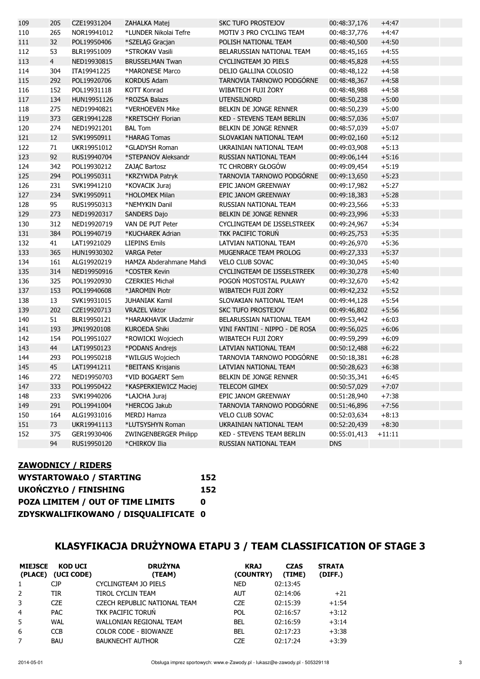| 109 | 205            | CZE19931204 | ZAHALKA Matej           | <b>SKC TUFO PROSTEJOV</b>        | 00:48:37,176 | $+4:47$  |
|-----|----------------|-------------|-------------------------|----------------------------------|--------------|----------|
| 110 | 265            | NOR19941012 | *LUNDER Nikolai Tefre   | MOTIV 3 PRO CYCLING TEAM         | 00:48:37,776 | $+4:47$  |
| 111 | 32             | POL19950406 | *SZELAG Gracjan         | POLISH NATIONAL TEAM             | 00:48:40,500 | $+4:50$  |
| 112 | 53             | BLR19951009 | *STROKAV Vasili         | BELARUSSIAN NATIONAL TEAM        | 00:48:45,165 | $+4:55$  |
| 113 | $\overline{4}$ | NED19930815 | <b>BRUSSELMAN Twan</b>  | <b>CYCLINGTEAM JO PIELS</b>      | 00:48:45,828 | $+4:55$  |
| 114 | 304            | ITA19941225 | *MARONESE Marco         | DELIO GALLINA COLOSIO            | 00:48:48,122 | $+4:58$  |
| 115 | 292            | POL19920706 | <b>KORDUS Adam</b>      | TARNOVIA TARNOWO PODGÓRNE        | 00:48:48,367 | $+4:58$  |
| 116 | 152            | POL19931118 | <b>KOTT Konrad</b>      | WIBATECH FUJI ŻORY               | 00:48:48,988 | $+4:58$  |
| 117 | 134            | HUN19951126 | *ROZSA Balazs           | <b>UTENSILNORD</b>               | 00:48:50,238 | $+5:00$  |
| 118 | 275            | NED19940821 | *VERHOEVEN Mike         | BELKIN DE JONGE RENNER           | 00:48:50,239 | $+5:00$  |
| 119 | 373            | GER19941228 | *KRETSCHY Florian       | <b>KED - STEVENS TEAM BERLIN</b> | 00:48:57,036 | $+5:07$  |
| 120 | 274            | NED19921201 | <b>BAL Tom</b>          | BELKIN DE JONGE RENNER           | 00:48:57,039 | $+5:07$  |
| 121 | 12             | SVK19950911 | *HARAG Tomas            | SLOVAKIAN NATIONAL TEAM          | 00:49:02,160 | $+5:12$  |
| 122 | 71             | UKR19951012 | *GLADYSH Roman          | UKRAINIAN NATIONAL TEAM          | 00:49:03,908 | $+5:13$  |
| 123 | 92             | RUS19940704 | *STEPANOV Aleksandr     | RUSSIAN NATIONAL TEAM            | 00:49:06,144 | $+5:16$  |
| 124 | 342            | POL19930212 | ZAJĄC Bartosz           | TC CHROBRY GŁOGÓW                | 00:49:09,454 | $+5:19$  |
| 125 | 294            | POL19950311 | *KRZYWDA Patryk         | TARNOVIA TARNOWO PODGÓRNE        | 00:49:13,650 | $+5:23$  |
| 126 | 231            | SVK19941210 | *KOVACIK Juraj          | EPIC JANOM GREENWAY              | 00:49:17,982 | $+5:27$  |
| 127 | 234            | SVK19950911 | *HOLOMEK Milan          | EPIC JANOM GREENWAY              | 00:49:18,383 | $+5:28$  |
| 128 | 95             | RUS19950313 | *NEMYKIN Danil          | RUSSIAN NATIONAL TEAM            | 00:49:23,566 | $+5:33$  |
| 129 | 273            | NED19920317 | SANDERS Dajo            | BELKIN DE JONGE RENNER           | 00:49:23,996 | $+5:33$  |
| 130 | 312            | NED19920719 | VAN DE PUT Peter        | CYCLINGTEAM DE IJSSELSTREEK      | 00:49:24,967 | $+5:34$  |
| 131 | 384            | POL19940719 | *KUCHAREK Adrian        | <b>TKK PACIFIC TORUŃ</b>         | 00:49:25,753 | $+5:35$  |
| 132 | 41             | LAT19921029 | <b>LIEPINS Emils</b>    | LATVIAN NATIONAL TEAM            | 00:49:26,970 | $+5:36$  |
| 133 | 365            | HUN19930302 | <b>VARGA Peter</b>      | MUGENRACE TEAM PROLOG            | 00:49:27,333 | $+5:37$  |
| 134 | 161            | ALG19920219 | HAMZA Abderahmane Mahdi | <b>VELO CLUB SOVAC</b>           | 00:49:30,045 | $+5:40$  |
| 135 | 314            | NED19950916 | *COSTER Kevin           | CYCLINGTEAM DE IJSSELSTREEK      | 00:49:30,278 | $+5:40$  |
| 136 | 325            | POL19920930 | <b>CZERKIES Michał</b>  | POGOŃ MOSTOSTAL PUŁAWY           | 00:49:32,670 | $+5:42$  |
| 137 | 153            | POL19940608 | *JAROMIN Piotr          | WIBATECH FUJI ŻORY               | 00:49:42,232 | $+5:52$  |
| 138 | 13             | SVK19931015 | <b>JUHANIAK Kamil</b>   | SLOVAKIAN NATIONAL TEAM          | 00:49:44,128 | $+5:54$  |
| 139 | 202            | CZE19920713 | <b>VRAZEL Viktor</b>    | <b>SKC TUFO PROSTEJOV</b>        | 00:49:46,802 | $+5:56$  |
| 140 | 51             | BLR19950121 | *HARAKHAVIK Uladzmir    | BELARUSSIAN NATIONAL TEAM        | 00:49:53,442 | $+6:03$  |
| 141 | 193            | JPN19920108 | <b>KUROEDA Shiki</b>    | VINI FANTINI - NIPPO - DE ROSA   | 00:49:56,025 | $+6:06$  |
| 142 | 154            | POL19951027 | *ROWICKI Wojciech       | WIBATECH FUJI ŻORY               | 00:49:59,299 | $+6:09$  |
| 143 | 44             | LAT19950123 | *PODANS Andrejs         | LATVIAN NATIONAL TEAM            | 00:50:12,488 | $+6:22$  |
| 144 | 293            | POL19950218 | *WILGUS Wojciech        | TARNOVIA TARNOWO PODGÓRNE        | 00:50:18,381 | $+6:28$  |
| 145 | 45             | LAT19941211 | *BEITANS Krisjanis      | LATVIAN NATIONAL TEAM            | 00:50:28,623 | $+6:38$  |
| 146 | 272            | NED19950703 | *VID BOGAERT Sem        | BELKIN DE JONGE RENNER           | 00:50:35,341 | $+6:45$  |
| 147 | 333            | POL19950422 | *KASPERKIEWICZ Maciej   | TELECOM GIMEX                    | 00:50:57,029 | $+7:07$  |
| 148 | 233            | SVK19940206 | *LAJCHA Juraj           | EPIC JANOM GREENWAY              | 00:51:28,940 | $+7:38$  |
| 149 | 291            | POL19941004 | *HERCOG Jakub           | TARNOVIA TARNOWO PODGÓRNE        | 00:51:46,896 | $+7:56$  |
| 150 | 164            | ALG19931016 | <b>MERDJ Hamza</b>      | <b>VELO CLUB SOVAC</b>           | 00:52:03,634 | $+8:13$  |
| 151 | 73             | UKR19941113 | *LUTSYSHYN Roman        | UKRAINIAN NATIONAL TEAM          | 00:52:20,439 | $+8:30$  |
| 152 | 375            | GER19930406 | ZWINGENBERGER Philipp   | KED - STEVENS TEAM BERLIN        | 00:55:01,413 | $+11:11$ |
|     | 94             | RUS19950120 | *CHIRKOV Ilia           | RUSSIAN NATIONAL TEAM            | <b>DNS</b>   |          |
|     |                |             |                         |                                  |              |          |

#### ZAWODNICY / RIDERS

| <b>WYSTARTOWAŁO / STARTING</b>       | 152 |
|--------------------------------------|-----|
| <b>UKOŃCZYŁO / FINISHING</b>         | 152 |
| POZA LIMITEM / OUT OF TIME LIMITS    | n   |
| ZDYSKWALIFIKOWANO / DISQUALIFICATE 0 |     |

# KLASYFIKACJA DRUŻYNOWA ETAPU 3 / TEAM CLASSIFICATION OF STAGE 3

| <b>MIEJSCE</b><br>(PLACE) | <b>KOD UCI</b><br>(UCI CODE) | <b>DRUŻYNA</b><br>(TEAM)       | <b>KRAJ</b><br>(COUNTRY) | <b>CZAS</b><br>(TIME) | <b>STRATA</b><br>(DIFF.) |
|---------------------------|------------------------------|--------------------------------|--------------------------|-----------------------|--------------------------|
|                           | <b>CJP</b>                   | CYCLINGTEAM JO PIELS           | <b>NED</b>               | 02:13:45              |                          |
| 2                         | <b>TIR</b>                   | TIROL CYCLIN TEAM              | <b>AUT</b>               | 02:14:06              | $+21$                    |
| 3                         | <b>CZE</b>                   | CZECH REPUBLIC NATIONAL TEAM   | <b>CZE</b>               | 02:15:39              | $+1:54$                  |
| $\overline{4}$            | <b>PAC</b>                   | <b>TKK PACIFIC TORUN</b>       | POL                      | 02:16:57              | $+3:12$                  |
| 5                         | WAL                          | <b>WALLONIAN REGIONAL TEAM</b> | BEL                      | 02:16:59              | $+3:14$                  |
| 6                         | <b>CCB</b>                   | COLOR CODE - BIOWANZE          | BEL                      | 02:17:23              | $+3:38$                  |
|                           | <b>BAU</b>                   | <b>BAUKNECHT AUTHOR</b>        | CZE                      | 02:17:24              | $+3:39$                  |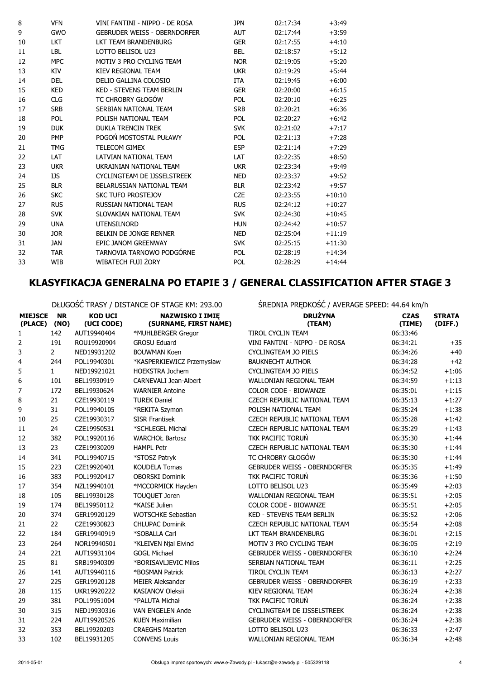| <b>VFN</b> | VINI FANTINI - NIPPO - DE ROSA      | <b>JPN</b> | 02:17:34 | $+3:49$  |
|------------|-------------------------------------|------------|----------|----------|
| <b>GWO</b> | <b>GEBRUDER WEISS - OBERNDORFER</b> | <b>AUT</b> | 02:17:44 | $+3:59$  |
| <b>LKT</b> | LKT TEAM BRANDENBURG                | <b>GER</b> | 02:17:55 | $+4:10$  |
| LBL        | LOTTO BELISOL U23                   | <b>BEL</b> | 02:18:57 | $+5:12$  |
| <b>MPC</b> | MOTIV 3 PRO CYCLING TEAM            | <b>NOR</b> | 02:19:05 | $+5:20$  |
| KIV        | KIEV REGIONAL TEAM                  | <b>UKR</b> | 02:19:29 | $+5:44$  |
| <b>DEL</b> | DELIO GALLINA COLOSIO               | ITA        | 02:19:45 | $+6:00$  |
| <b>KED</b> | <b>KED - STEVENS TEAM BERLIN</b>    | <b>GER</b> | 02:20:00 | $+6:15$  |
| <b>CLG</b> | TC CHROBRY GŁOGÓW                   | <b>POL</b> | 02:20:10 | $+6:25$  |
| <b>SRB</b> | SERBIAN NATIONAL TEAM               | <b>SRB</b> | 02:20:21 | $+6:36$  |
| <b>POL</b> | POLISH NATIONAL TFAM                | <b>POL</b> | 02:20:27 | $+6:42$  |
| <b>DUK</b> | <b>DUKLA TRENCIN TREK</b>           | <b>SVK</b> | 02:21:02 | $+7:17$  |
| <b>PMP</b> | POGOŃ MOSTOSTAL PUŁAWY              | <b>POL</b> | 02:21:13 | $+7:28$  |
| <b>TMG</b> | <b>TELECOM GIMEX</b>                | <b>ESP</b> | 02:21:14 | $+7:29$  |
| LAT        | LATVIAN NATIONAL TEAM               | <b>LAT</b> | 02:22:35 | $+8:50$  |
| <b>UKR</b> | UKRAINIAN NATIONAL TEAM             | <b>UKR</b> | 02:23:34 | $+9:49$  |
| IJS        | CYCLINGTEAM DE IJSSELSTREEK         | <b>NED</b> | 02:23:37 | $+9:52$  |
| <b>BLR</b> | BELARUSSIAN NATIONAL TEAM           | <b>BLR</b> | 02:23:42 | $+9:57$  |
| <b>SKC</b> | <b>SKC TUFO PROSTEJOV</b>           | <b>CZE</b> | 02:23:55 | $+10:10$ |
| <b>RUS</b> | RUSSIAN NATIONAL TEAM               | <b>RUS</b> | 02:24:12 | $+10:27$ |
| <b>SVK</b> | SLOVAKIAN NATIONAL TEAM             | <b>SVK</b> | 02:24:30 | $+10:45$ |
| <b>UNA</b> | <b>UTENSILNORD</b>                  | <b>HUN</b> | 02:24:42 | $+10:57$ |
| <b>JOR</b> | BELKIN DE JONGE RENNER              | <b>NED</b> | 02:25:04 | $+11:19$ |
| <b>JAN</b> | EPIC JANOM GREENWAY                 | <b>SVK</b> | 02:25:15 | $+11:30$ |
| <b>TAR</b> | TARNOVIA TARNOWO PODGÓRNE           | <b>POL</b> | 02:28:19 | $+14:34$ |
| <b>WIB</b> | WIBATECH FUJI ŻORY                  | <b>POL</b> | 02:28:29 | $+14:44$ |
|            |                                     |            |          |          |

### KLASYFIKACJA GENERALNA PO ETAPIE 3 / GENERAL CLASSIFICATION AFTER STAGE 3

DŁUGOŚĆ TRASY / DISTANCE OF STAGE KM: 293.00 ŚREDNIA PRĘDKOŚĆ / AVERAGE SPEED: 44.64 km/h

|                                | <u> PLOOOOC TIVIOT / DIOTARCE OF STAOL IN IL ESSIOO</u> |                              |                                                 | ALDINIA IN GONOSCI INTERNOL SI LLD. THIS INTERNATION |                       |                          |
|--------------------------------|---------------------------------------------------------|------------------------------|-------------------------------------------------|------------------------------------------------------|-----------------------|--------------------------|
| <b>MIEJSCE</b><br>(PLACE) (NO) | <b>NR</b>                                               | <b>KOD UCI</b><br>(UCI CODE) | <b>NAZWISKO I IMIE</b><br>(SURNAME, FIRST NAME) | <b>DRUŻYNA</b><br>(TEAM)                             | <b>CZAS</b><br>(TIME) | <b>STRATA</b><br>(DIFF.) |
| $\mathbf{1}$                   | 142                                                     | AUT19940404                  | *MUHLBERGER Gregor                              | TIROL CYCLIN TEAM                                    | 06:33:46              |                          |
| 2                              | 191                                                     | ROU19920904                  | <b>GROSU Eduard</b>                             | VINI FANTINI - NIPPO - DE ROSA                       | 06:34:21              | $+35$                    |
| 3                              | $\overline{2}$                                          | NED19931202                  | <b>BOUWMAN Koen</b>                             | <b>CYCLINGTEAM JO PIELS</b>                          | 06:34:26              | $+40$                    |
| 4                              | 244                                                     | POL19940301                  | *KASPERKIEWICZ Przemysław                       | <b>BAUKNECHT AUTHOR</b>                              | 06:34:28              | $+42$                    |
| 5                              | $\mathbf{1}$                                            | NED19921021                  | <b>HOEKSTRA Jochem</b>                          | <b>CYCLINGTEAM JO PIELS</b>                          | 06:34:52              | $+1:06$                  |
| 6                              | 101                                                     | BEL19930919                  | <b>CARNEVALI Jean-Albert</b>                    | <b>WALLONIAN REGIONAL TEAM</b>                       | 06:34:59              | $+1:13$                  |
| 7                              | 172                                                     | BEL19930624                  | <b>WARNIER Antoine</b>                          | <b>COLOR CODE - BIOWANZE</b>                         | 06:35:01              | $+1:15$                  |
| 8                              | 21                                                      | CZE19930119                  | <b>TUREK Daniel</b>                             | CZECH REPUBLIC NATIONAL TEAM                         | 06:35:13              | $+1:27$                  |
| 9                              | 31                                                      | POL19940105                  | *REKITA Szymon                                  | POLISH NATIONAL TEAM                                 | 06:35:24              | $+1:38$                  |
| 10                             | 25                                                      | CZE19930317                  | <b>SISR Frantisek</b>                           | CZECH REPUBLIC NATIONAL TEAM                         | 06:35:28              | $+1:42$                  |
| 11                             | 24                                                      | CZE19950531                  | *SCHLEGEL Michal                                | CZECH REPUBLIC NATIONAL TEAM                         | 06:35:29              | $+1:43$                  |
| 12                             | 382                                                     | POL19920116                  | <b>WARCHOŁ Bartosz</b>                          | TKK PACIFIC TORUŃ                                    | 06:35:30              | $+1:44$                  |
| 13                             | 23                                                      | CZE19930209                  | <b>HAMPL Petr</b>                               | CZECH REPUBLIC NATIONAL TEAM                         | 06:35:30              | $+1:44$                  |
| 14                             | 341                                                     | POL19940715                  | *STOSZ Patryk                                   | TC CHROBRY GŁOGÓW                                    | 06:35:30              | $+1:44$                  |
| 15                             | 223                                                     | CZE19920401                  | <b>KOUDELA Tomas</b>                            | <b>GEBRUDER WEISS - OBERNDORFER</b>                  | 06:35:35              | $+1:49$                  |
| 16                             | 383                                                     | POL19920417                  | <b>OBORSKI Dominik</b>                          | TKK PACIFIC TORUŃ                                    | 06:35:36              | $+1:50$                  |
| 17                             | 354                                                     | NZL19940101                  | *MCCORMICK Hayden                               | LOTTO BELISOL U23                                    | 06:35:49              | $+2:03$                  |
| 18                             | 105                                                     | BEL19930128                  | TOUQUET Joren                                   | WALLONIAN REGIONAL TEAM                              | 06:35:51              | $+2:05$                  |
| 19                             | 174                                                     | BEL19950112                  | *KAISE Julien                                   | <b>COLOR CODE - BIOWANZE</b>                         | 06:35:51              | $+2:05$                  |
| 20                             | 374                                                     | GER19920129                  | <b>WOTSCHKE Sebastian</b>                       | <b>KED - STEVENS TEAM BERLIN</b>                     | 06:35:52              | $+2:06$                  |
| 21                             | 22                                                      | CZE19930823                  | <b>CHLUPAC Dominik</b>                          | CZECH REPUBLIC NATIONAL TEAM                         | 06:35:54              | $+2:08$                  |
| 22                             | 184                                                     | GER19940919                  | *SOBALLA Carl                                   | LKT TEAM BRANDENBURG                                 | 06:36:01              | $+2:15$                  |
| 23                             | 264                                                     | NOR19940501                  | *KLEIVEN Njal Eivind                            | MOTIV 3 PRO CYCLING TEAM                             | 06:36:05              | $+2:19$                  |
| 24                             | 221                                                     | AUT19931104                  | <b>GOGL Michael</b>                             | <b>GEBRUDER WEISS - OBERNDORFER</b>                  | 06:36:10              | $+2:24$                  |
| 25                             | 81                                                      | SRB19940309                  | *BORISAVLJEVIC Milos                            | SERBIAN NATIONAL TEAM                                | 06:36:11              | $+2:25$                  |
| 26                             | 141                                                     | AUT19940116                  | *BOSMAN Patrick                                 | TIROL CYCLIN TEAM                                    | 06:36:13              | $+2:27$                  |
| 27                             | 225                                                     | GER19920128                  | <b>MEIER Aleksander</b>                         | <b>GEBRUDER WEISS - OBERNDORFER</b>                  | 06:36:19              | $+2:33$                  |
| 28                             | 115                                                     | UKR19920222                  | <b>KASIANOV Oleksii</b>                         | <b>KIEV REGIONAL TEAM</b>                            | 06:36:24              | $+2:38$                  |
| 29                             | 381                                                     | POL19951004                  | *PALUTA Michał                                  | TKK PACIFIC TORUŃ                                    | 06:36:24              | $+2:38$                  |
| 30                             | 315                                                     | NED19930316                  | <b>VAN ENGELEN Ande</b>                         | CYCLINGTEAM DE IJSSELSTREEK                          | 06:36:24              | $+2:38$                  |
| 31                             | 224                                                     | AUT19920526                  | <b>KUEN Maximilian</b>                          | <b>GEBRUDER WEISS - OBERNDORFER</b>                  | 06:36:24              | $+2:38$                  |
| 32                             | 353                                                     | BEL19920203                  | <b>CRAEGHS Maarten</b>                          | LOTTO BELISOL U23                                    | 06:36:33              | $+2:47$                  |
| 33                             | 102                                                     | BEL19931205                  | <b>CONVENS Louis</b>                            | WALLONIAN REGIONAL TEAM                              | 06:36:34              | $+2:48$                  |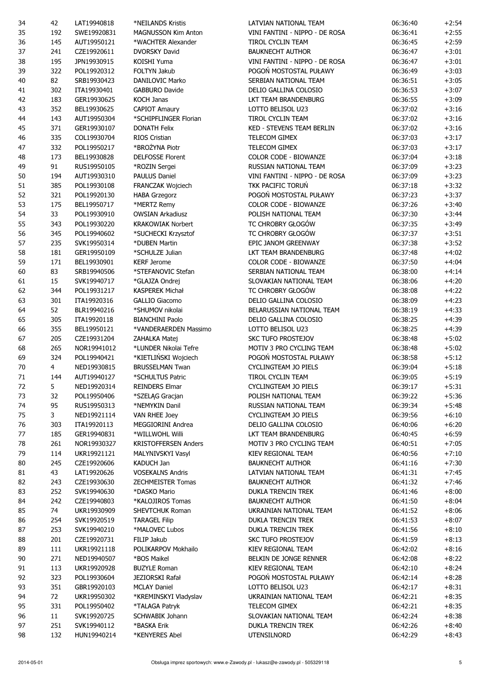| 34 | 42             | LAT19940818 | *NEILANDS Kristis           | LATVIAN NATIONAL TEAM            | 06:36:40 | $+2:54$ |
|----|----------------|-------------|-----------------------------|----------------------------------|----------|---------|
| 35 | 192            | SWE19920831 | <b>MAGNUSSON Kim Anton</b>  | VINI FANTINI - NIPPO - DE ROSA   | 06:36:41 | $+2:55$ |
| 36 | 145            | AUT19950121 | *WACHTER Alexander          | TIROL CYCLIN TEAM                | 06:36:45 | $+2:59$ |
| 37 | 241            | CZE19920611 | <b>DVORSKY David</b>        | <b>BAUKNECHT AUTHOR</b>          | 06:36:47 | $+3:01$ |
| 38 | 195            | JPN19930915 | KOISHI Yuma                 | VINI FANTINI - NIPPO - DE ROSA   | 06:36:47 | $+3:01$ |
| 39 | 322            | POL19920312 | FOLTYN Jakub                | POGOŃ MOSTOSTAL PUŁAWY           | 06:36:49 | $+3:03$ |
| 40 | 82             | SRB19930423 | <b>DANILOVIC Marko</b>      | SERBIAN NATIONAL TEAM            | 06:36:51 | $+3:05$ |
| 41 | 302            | ITA19930401 | <b>GABBURO Davide</b>       | DELIO GALLINA COLOSIO            | 06:36:53 | $+3:07$ |
| 42 | 183            | GER19930625 | <b>KOCH Janas</b>           | LKT TEAM BRANDENBURG             | 06:36:55 | $+3:09$ |
| 43 | 352            | BEL19930625 | <b>CAPIOT Amaury</b>        | LOTTO BELISOL U23                | 06:37:02 | $+3:16$ |
| 44 | 143            | AUT19950304 | *SCHIPFLINGER Florian       | <b>TIROL CYCLIN TEAM</b>         | 06:37:02 | $+3:16$ |
| 45 | 371            | GER19930107 | <b>DONATH Felix</b>         | <b>KED - STEVENS TEAM BERLIN</b> | 06:37:02 | $+3:16$ |
| 46 | 335            | COL19930704 | RIOS Cristian               | TELECOM GIMEX                    | 06:37:03 | $+3:17$ |
| 47 | 332            | POL19950217 | *BROŻYNA Piotr              | <b>TELECOM GIMEX</b>             | 06:37:03 | $+3:17$ |
| 48 | 173            | BEL19930828 | <b>DELFOSSE Florent</b>     | COLOR CODE - BIOWANZE            | 06:37:04 | $+3:18$ |
| 49 | 91             | RUS19950105 | *ROZIN Sergei               | RUSSIAN NATIONAL TEAM            | 06:37:09 | $+3:23$ |
| 50 | 194            | AUT19930310 | <b>PAULUS Daniel</b>        | VINI FANTINI - NIPPO - DE ROSA   | 06:37:09 | $+3:23$ |
| 51 | 385            | POL19930108 | FRANCZAK Wojciech           | TKK PACIFIC TORUŃ                | 06:37:18 | $+3:32$ |
|    |                |             |                             | POGOŃ MOSTOSTAL PUŁAWY           |          | $+3:37$ |
| 52 | 321            | POL19920130 | <b>HABA Grzegorz</b>        |                                  | 06:37:23 |         |
| 53 | 175            | BEL19950717 | *MERTZ Remy                 | <b>COLOR CODE - BIOWANZE</b>     | 06:37:26 | $+3:40$ |
| 54 | 33             | POL19930910 | <b>OWSIAN Arkadiusz</b>     | POLISH NATIONAL TEAM             | 06:37:30 | $+3:44$ |
| 55 | 343            | POL19930220 | <b>KRAKOWIAK Norbert</b>    | TC CHROBRY GŁOGÓW                | 06:37:35 | $+3:49$ |
| 56 | 345            | POL19940602 | *SUCHECKI Krzysztof         | TC CHROBRY GŁOGÓW                | 06:37:37 | $+3:51$ |
| 57 | 235            | SVK19950314 | *DUBEN Martin               | EPIC JANOM GREENWAY              | 06:37:38 | $+3:52$ |
| 58 | 181            | GER19950109 | *SCHULZE Julian             | LKT TEAM BRANDENBURG             | 06:37:48 | $+4:02$ |
| 59 | 171            | BEL19930901 | <b>KERF Jerome</b>          | <b>COLOR CODE - BIOWANZE</b>     | 06:37:50 | $+4:04$ |
| 60 | 83             | SRB19940506 | *STEFANOVIC Stefan          | SERBIAN NATIONAL TEAM            | 06:38:00 | $+4:14$ |
| 61 | 15             | SVK19940717 | *GLAJZA Ondrej              | SLOVAKIAN NATIONAL TEAM          | 06:38:06 | $+4:20$ |
| 62 | 344            | POL19931217 | <b>KASPEREK Michał</b>      | TC CHROBRY GŁOGÓW                | 06:38:08 | $+4:22$ |
| 63 | 301            | ITA19920316 | <b>GALLIO Giacomo</b>       | DELIO GALLINA COLOSIO            | 06:38:09 | $+4:23$ |
| 64 | 52             | BLR19940216 | *SHUMOV nikolai             | BELARUSSIAN NATIONAL TEAM        | 06:38:19 | $+4:33$ |
| 65 | 305            | ITA19920118 | <b>BIANCHINI Paolo</b>      | DELIO GALLINA COLOSIO            | 06:38:25 | $+4:39$ |
| 66 | 355            | BEL19950121 | *VANDERAERDEN Massimo       | LOTTO BELISOL U23                | 06:38:25 | $+4:39$ |
| 67 | 205            | CZE19931204 | ZAHALKA Matej               | <b>SKC TUFO PROSTEJOV</b>        | 06:38:48 | $+5:02$ |
| 68 | 265            | NOR19941012 | *LUNDER Nikolai Tefre       | MOTIV 3 PRO CYCLING TEAM         | 06:38:48 | $+5:02$ |
| 69 | 324            | POL19940421 | *KIETLIŃSKI Wojciech        | POGOŃ MOSTOSTAL PUŁAWY           | 06:38:58 | $+5:12$ |
| 70 | $\overline{4}$ | NED19930815 | <b>BRUSSELMAN Twan</b>      | <b>CYCLINGTEAM JO PIELS</b>      | 06:39:04 | $+5:18$ |
| 71 | 144            | AUT19940127 | *SCHULTUS Patric            | TIROL CYCLIN TEAM                | 06:39:05 | $+5:19$ |
| 72 | 5              | NED19920314 | <b>REINDERS Elmar</b>       | CYCLINGTEAM JO PIELS             | 06:39:17 | $+5:31$ |
| 73 | 32             | POL19950406 | *SZELĄG Gracjan             | POLISH NATIONAL TEAM             | 06:39:22 | $+5:36$ |
| 74 | 95             | RUS19950313 | *NEMYKIN Danil              | RUSSIAN NATIONAL TEAM            | 06:39:34 | $+5:48$ |
| 75 | 3              | NED19921114 | VAN RHEE Joey               | CYCLINGTEAM JO PIELS             | 06:39:56 | $+6:10$ |
| 76 | 303            | ITA19920113 | MEGGIORINI Andrea           | DELIO GALLINA COLOSIO            | 06:40:06 | $+6:20$ |
| 77 | 185            | GER19940831 | *WILLWOHL Willi             | LKT TEAM BRANDENBURG             | 06:40:45 | $+6:59$ |
| 78 | 261            | NOR19930327 | <b>KRISTOFFERSEN Anders</b> | MOTIV 3 PRO CYCLING TEAM         | 06:40:51 | $+7:05$ |
| 79 | 114            | UKR19921121 | MALYNIVSKYI Vasyl           | KIEV REGIONAL TEAM               | 06:40:56 | $+7:10$ |
| 80 | 245            | CZE19920606 | KADUCH Jan                  | <b>BAUKNECHT AUTHOR</b>          | 06:41:16 | $+7:30$ |
| 81 | 43             | LAT19920626 | <b>VOSEKALNS Andris</b>     | LATVIAN NATIONAL TEAM            | 06:41:31 | $+7:45$ |
|    |                | CZE19930630 | <b>ZECHMEISTER Tomas</b>    | <b>BAUKNECHT AUTHOR</b>          | 06:41:32 |         |
| 82 | 243            |             |                             |                                  |          | $+7:46$ |
| 83 | 252            | SVK19940630 | *DASKO Mario                | DUKLA TRENCIN TREK               | 06:41:46 | $+8:00$ |
| 84 | 242            | CZE19940803 | *KALOJIROS Tomas            | <b>BAUKNECHT AUTHOR</b>          | 06:41:50 | $+8:04$ |
| 85 | 74             | UKR19930909 | <b>SHEVTCHUK Roman</b>      | UKRAINIAN NATIONAL TEAM          | 06:41:52 | $+8:06$ |
| 86 | 254            | SVK19920519 | <b>TARAGEL Filip</b>        | DUKLA TRENCIN TREK               | 06:41:53 | $+8:07$ |
| 87 | 253            | SVK19940210 | *MALOVEC Lubos              | <b>DUKLA TRENCIN TREK</b>        | 06:41:56 | $+8:10$ |
| 88 | 201            | CZE19920731 | FILIP Jakub                 | <b>SKC TUFO PROSTEJOV</b>        | 06:41:59 | $+8:13$ |
| 89 | 111            | UKR19921118 | POLIKARPOV Mokhailo         | KIEV REGIONAL TEAM               | 06:42:02 | $+8:16$ |
| 90 | 271            | NED19940507 | *BOS Maikel                 | BELKIN DE JONGE RENNER           | 06:42:08 | $+8:22$ |
| 91 | 113            | UKR19920928 | <b>BUZYLE Roman</b>         | KIEV REGIONAL TEAM               | 06:42:10 | $+8:24$ |
| 92 | 323            | POL19930604 | JEZIORSKI Rafał             | POGOŃ MOSTOSTAL PUŁAWY           | 06:42:14 | $+8:28$ |
| 93 | 351            | GBR19920103 | <b>MCLAY Daniel</b>         | LOTTO BELISOL U23                | 06:42:17 | $+8:31$ |
| 94 | 72             | UKR19950302 | *KREMINSKYI Vladyslav       | UKRAINIAN NATIONAL TEAM          | 06:42:21 | $+8:35$ |
| 95 | 331            | POL19950402 | *TALAGA Patryk              | TELECOM GIMEX                    | 06:42:21 | $+8:35$ |
| 96 | 11             | SVK19920725 | SCHWABIK Johann             | SLOVAKIAN NATIONAL TEAM          | 06:42:24 | $+8:38$ |
| 97 | 251            | SVK19940112 | *BASKA Erik                 | DUKLA TRENCIN TREK               | 06:42:26 | $+8:40$ |
| 98 | 132            | HUN19940214 | *KENYERES Abel              | <b>UTENSILNORD</b>               | 06:42:29 | $+8:43$ |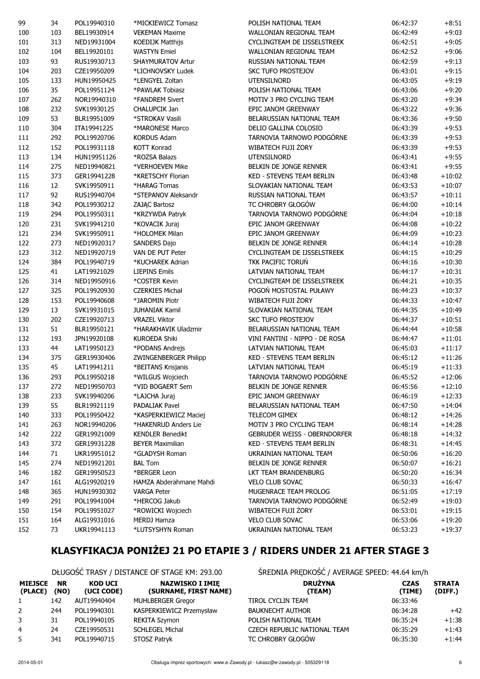| 99  | 34  | POL19940310 | *MICKIEWICZ Tomasz           | POLISH NATIONAL TEAM                | 06:42:37 | $+8:51$  |
|-----|-----|-------------|------------------------------|-------------------------------------|----------|----------|
| 100 | 103 | BEL19930914 | <b>VEKEMAN Maxime</b>        | WALLONIAN REGIONAL TEAM             | 06:42:49 | $+9:03$  |
| 101 | 313 | NED19931004 | <b>KOEDIJK Matthijs</b>      | CYCLINGTEAM DE IJSSELSTREEK         | 06:42:51 | $+9:05$  |
| 102 | 104 | BEL19920101 | <b>WASTYN Emiel</b>          | WALLONIAN REGIONAL TEAM             | 06:42:52 | $+9:06$  |
| 103 | 93  | RUS19930713 | <b>SHAYMURATOV Artur</b>     | RUSSIAN NATIONAL TEAM               | 06:42:59 | $+9:13$  |
| 104 | 203 | CZE19950209 | *LICHNOVSKY Ludek            | <b>SKC TUFO PROSTEJOV</b>           | 06:43:01 | $+9:15$  |
| 105 | 133 | HUN19950425 | *LENGYEL Zoltan              | <b>UTENSILNORD</b>                  | 06:43:05 | $+9:19$  |
| 106 | 35  | POL19951124 | *PAWLAK Tobiasz              | POLISH NATIONAL TEAM                | 06:43:06 | $+9:20$  |
| 107 | 262 | NOR19940310 | *FANDREM Sivert              | MOTIV 3 PRO CYCLING TEAM            | 06:43:20 | $+9:34$  |
| 108 | 232 | SVK19930125 | CHALUPCIK Jan                | EPIC JANOM GREENWAY                 | 06:43:22 | $+9:36$  |
| 109 | 53  | BLR19951009 | *STROKAV Vasili              | BELARUSSIAN NATIONAL TEAM           | 06:43:36 | $+9:50$  |
| 110 | 304 | ITA19941225 | *MARONESE Marco              | DELIO GALLINA COLOSIO               | 06:43:39 | $+9:53$  |
| 111 | 292 | POL19920706 | <b>KORDUS Adam</b>           | TARNOVIA TARNOWO PODGÓRNE           | 06:43:39 | $+9:53$  |
| 112 | 152 | POL19931118 | <b>KOTT Konrad</b>           | WIBATECH FUJI ŻORY                  | 06:43:39 | $+9:53$  |
| 113 | 134 | HUN19951126 | *ROZSA Balazs                | <b>UTENSILNORD</b>                  | 06:43:41 | $+9:55$  |
| 114 | 275 | NED19940821 | *VERHOEVEN Mike              | BELKIN DE JONGE RENNER              | 06:43:41 | $+9:55$  |
|     | 373 | GER19941228 | *KRETSCHY Florian            | <b>KED - STEVENS TEAM BERLIN</b>    |          | $+10:02$ |
| 115 |     |             |                              |                                     | 06:43:48 |          |
| 116 | 12  | SVK19950911 | *HARAG Tomas                 | SLOVAKIAN NATIONAL TEAM             | 06:43:53 | $+10:07$ |
| 117 | 92  | RUS19940704 | *STEPANOV Aleksandr          | RUSSIAN NATIONAL TEAM               | 06:43:57 | $+10:11$ |
| 118 | 342 | POL19930212 | ZAJĄC Bartosz                | TC CHROBRY GŁOGÓW                   | 06:44:00 | $+10:14$ |
| 119 | 294 | POL19950311 | *KRZYWDA Patryk              | TARNOVIA TARNOWO PODGÓRNE           | 06:44:04 | $+10:18$ |
| 120 | 231 | SVK19941210 | *KOVACIK Juraj               | EPIC JANOM GREENWAY                 | 06:44:08 | $+10:22$ |
| 121 | 234 | SVK19950911 | *HOLOMEK Milan               | EPIC JANOM GREENWAY                 | 06:44:09 | $+10:23$ |
| 122 | 273 | NED19920317 | SANDERS Dajo                 | BELKIN DE JONGE RENNER              | 06:44:14 | $+10:28$ |
| 123 | 312 | NED19920719 | VAN DE PUT Peter             | CYCLINGTEAM DE IJSSELSTREEK         | 06:44:15 | $+10:29$ |
| 124 | 384 | POL19940719 | *KUCHAREK Adrian             | TKK PACIFIC TORUŃ                   | 06:44:16 | $+10:30$ |
| 125 | 41  | LAT19921029 | <b>LIEPINS Emils</b>         | LATVIAN NATIONAL TEAM               | 06:44:17 | $+10:31$ |
| 126 | 314 | NED19950916 | *COSTER Kevin                | CYCLINGTEAM DE IJSSELSTREEK         | 06:44:21 | $+10:35$ |
| 127 | 325 | POL19920930 | <b>CZERKIES Michał</b>       | POGOŃ MOSTOSTAL PUŁAWY              | 06:44:23 | $+10:37$ |
| 128 | 153 | POL19940608 | *JAROMIN Piotr               | WIBATECH FUJI ŻORY                  | 06:44:33 | $+10:47$ |
| 129 | 13  | SVK19931015 | <b>JUHANIAK Kamil</b>        | SLOVAKIAN NATIONAL TEAM             | 06:44:35 | $+10:49$ |
| 130 | 202 | CZE19920713 | <b>VRAZEL Viktor</b>         | <b>SKC TUFO PROSTEJOV</b>           | 06:44:37 | $+10:51$ |
| 131 | 51  | BLR19950121 | *HARAKHAVIK Uladzmir         | BELARUSSIAN NATIONAL TEAM           | 06:44:44 | $+10:58$ |
| 132 | 193 | JPN19920108 | <b>KUROEDA Shiki</b>         | VINI FANTINI - NIPPO - DE ROSA      | 06:44:47 | $+11:01$ |
| 133 | 44  | LAT19950123 | *PODANS Andrejs              | LATVIAN NATIONAL TEAM               | 06:45:03 | $+11:17$ |
| 134 | 375 | GER19930406 | <b>ZWINGENBERGER Philipp</b> | <b>KED - STEVENS TEAM BERLIN</b>    | 06:45:12 | $+11:26$ |
| 135 | 45  | LAT19941211 | *BEITANS Krisjanis           | LATVIAN NATIONAL TEAM               | 06:45:19 | $+11:33$ |
| 136 | 293 | POL19950218 | *WILGUS Wojciech             | TARNOVIA TARNOWO PODGÓRNE           | 06:45:52 | $+12:06$ |
| 137 | 272 | NED19950703 | *VID BOGAERT Sem             | BELKIN DE JONGE RENNER              | 06:45:56 | $+12:10$ |
| 138 | 233 | SVK19940206 | *LAJCHA Juraj                | EPIC JANOM GREENWAY                 | 06:46:19 | $+12:33$ |
| 139 | 55  | BLR19921119 | <b>PADALIAK Pavel</b>        | BELARUSSIAN NATIONAL TEAM           | 06:47:50 | $+14:04$ |
| 140 | 333 | POL19950422 | *KASPERKIEWICZ Maciej        | TELECOM GIMEX                       | 06:48:12 | $+14:26$ |
| 141 | 263 | NOR19940206 | *HAKENRUD Anders Lie         | MOTIV 3 PRO CYCLING TEAM            | 06:48:14 | $+14:28$ |
| 142 | 222 | GER19921009 | <b>KENDLER Benedikt</b>      | <b>GEBRUDER WEISS - OBERNDORFER</b> | 06:48:18 | $+14:32$ |
| 143 | 372 | GER19931228 | <b>BEYER Maximilian</b>      | <b>KED - STEVENS TEAM BERLIN</b>    | 06:48:31 | $+14:45$ |
| 144 | 71  | UKR19951012 | *GLADYSH Roman               | UKRAINIAN NATIONAL TEAM             | 06:50:06 | $+16:20$ |
| 145 | 274 | NED19921201 | <b>BAL Tom</b>               | BELKIN DE JONGE RENNER              | 06:50:07 | $+16:21$ |
| 146 | 182 | GER19950523 | *BERGER Leon                 | LKT TEAM BRANDENBURG                | 06:50:20 | $+16:34$ |
| 147 | 161 | ALG19920219 | HAMZA Abderahmane Mahdi      | <b>VELO CLUB SOVAC</b>              | 06:50:33 | $+16:47$ |
| 148 | 365 | HUN19930302 | <b>VARGA Peter</b>           | MUGENRACE TEAM PROLOG               | 06:51:05 | $+17:19$ |
| 149 | 291 | POL19941004 | *HERCOG Jakub                | TARNOVIA TARNOWO PODGÓRNE           | 06:52:49 | $+19:03$ |
| 150 | 154 | POL19951027 | *ROWICKI Wojciech            | WIBATECH FUJI ŻORY                  | 06:53:01 | $+19:15$ |
| 151 | 164 | ALG19931016 | <b>MERDJ Hamza</b>           | VELO CLUB SOVAC                     | 06:53:06 | $+19:20$ |
| 152 | 73  | UKR19941113 | *LUTSYSHYN Roman             | UKRAINIAN NATIONAL TEAM             | 06:53:23 | $+19:37$ |
|     |     |             |                              |                                     |          |          |

# KLASYFIKACJA PONIŻEJ 21 PO ETAPIE 3 / RIDERS UNDER 21 AFTER STAGE 3

#### DŁUGOŚĆ TRASY / DISTANCE OF STAGE KM: 293.00 ŚREDNIA PRĘDKOŚĆ / AVERAGE SPEED: 44.64 km/h

| <b>MIEJSCE</b><br>(PLACE) | <b>NR</b><br>(NO) | <b>KOD UCI</b><br>(UCI CODE) | <b>NAZWISKO I IMIE</b><br>(SURNAME, FIRST NAME) | <b>DRUŻYNA</b><br>(TEAM)     | <b>CZAS</b><br>(TIMI |
|---------------------------|-------------------|------------------------------|-------------------------------------------------|------------------------------|----------------------|
| $\mathbf{1}$              | 142               | AUT19940404                  | <b>MUHLBERGER Gregor</b>                        | TIROL CYCLIN TEAM            | 06:33:46             |
| $\mathbf{2}$              | 244               | POL19940301                  | KASPERKIEWICZ Przemysław                        | <b>BAUKNECHT AUTHOR</b>      | 06:34:28             |
| 3                         | 31                | POL19940105                  | <b>REKITA Szymon</b>                            | POLISH NATIONAL TEAM         | 06:35:24             |
| 4                         | 24                | CZE19950531                  | <b>SCHLEGEL Michal</b>                          | CZECH REPUBLIC NATIONAL TEAM | 06:35:29             |
| 5                         | 341               | POL19940715                  | STOSZ Patryk                                    | TC CHROBRY GŁOGÓW            | 06:35:30             |

| <b>MIEJSCE</b><br>(PLACE) | <b>NR</b><br>(NO) | <b>KOD UCI</b><br>(UCI CODE) | <b>NAZWISKO I IMIE</b><br>(SURNAME, FIRST NAME) | <b>DRUŻYNA</b><br>(TEAM)     | <b>CZAS</b><br>(TIME) | <b>STRATA</b><br>(DIFF.) |
|---------------------------|-------------------|------------------------------|-------------------------------------------------|------------------------------|-----------------------|--------------------------|
|                           | 142               | AUT19940404                  | <b>MUHLBERGER Gregor</b>                        | TIROL CYCLIN TEAM            | 06:33:46              |                          |
| 2                         | 244               | POL19940301                  | KASPERKIEWICZ Przemysław                        | <b>BAUKNECHT AUTHOR</b>      | 06:34:28              | $+42$                    |
|                           | 31                | POL19940105                  | REKITA Szymon                                   | POLISH NATIONAL TEAM         | 06:35:24              | $+1:38$                  |
|                           | 24                | CZE19950531                  | <b>SCHLEGEL Michal</b>                          | CZECH REPUBLIC NATIONAL TEAM | 06:35:29              | $+1:43$                  |
|                           | 341               | POL19940715                  | STOSZ Patryk                                    | TC CHROBRY GŁOGÓW            | 06:35:30              | $+1:44$                  |
|                           |                   |                              |                                                 |                              |                       |                          |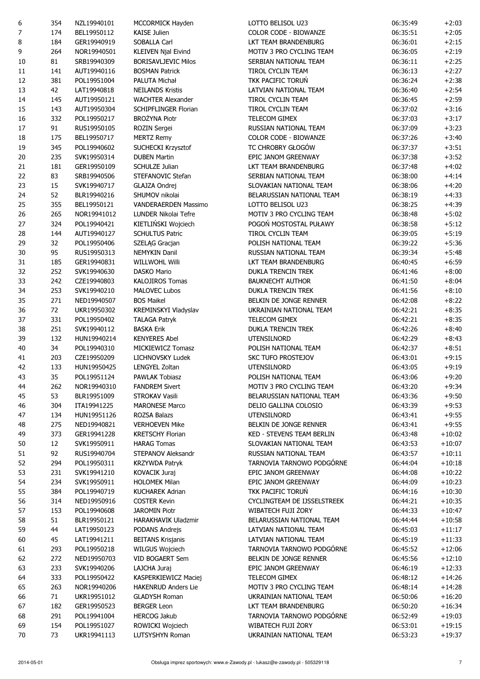| 6      | 354 | NZL19940101 | MCCORMICK Hayden            | LOTTO BELISOL U23           | 06:35:49 | $+2:03$  |
|--------|-----|-------------|-----------------------------|-----------------------------|----------|----------|
| 7      | 174 | BEL19950112 | <b>KAISE Julien</b>         | COLOR CODE - BIOWANZE       | 06:35:51 | $+2:05$  |
| 8      | 184 | GER19940919 | <b>SOBALLA Carl</b>         | LKT TEAM BRANDENBURG        | 06:36:01 | $+2:15$  |
| 9      | 264 | NOR19940501 | <b>KLEIVEN Njal Eivind</b>  | MOTIV 3 PRO CYCLING TEAM    | 06:36:05 | $+2:19$  |
| 10     | 81  | SRB19940309 | <b>BORISAVLJEVIC Milos</b>  | SERBIAN NATIONAL TEAM       | 06:36:11 | $+2:25$  |
| $11\,$ | 141 | AUT19940116 | <b>BOSMAN Patrick</b>       | <b>TIROL CYCLIN TEAM</b>    | 06:36:13 | $+2:27$  |
| 12     | 381 | POL19951004 | PALUTA Michał               | TKK PACIFIC TORUŃ           | 06:36:24 | $+2:38$  |
| 13     | 42  | LAT19940818 | <b>NEILANDS Kristis</b>     | LATVIAN NATIONAL TEAM       | 06:36:40 | $+2:54$  |
| 14     | 145 | AUT19950121 | <b>WACHTER Alexander</b>    | TIROL CYCLIN TEAM           | 06:36:45 | $+2:59$  |
| 15     | 143 | AUT19950304 | <b>SCHIPFLINGER Florian</b> | TIROL CYCLIN TEAM           | 06:37:02 | $+3:16$  |
| 16     | 332 | POL19950217 | <b>BROŻYNA Piotr</b>        | TELECOM GIMEX               | 06:37:03 | $+3:17$  |
| $17\,$ | 91  | RUS19950105 | ROZIN Sergei                | RUSSIAN NATIONAL TEAM       | 06:37:09 | $+3:23$  |
| 18     | 175 | BEL19950717 | <b>MERTZ Remy</b>           | COLOR CODE - BIOWANZE       | 06:37:26 | $+3:40$  |
| 19     | 345 | POL19940602 | SUCHECKI Krzysztof          | TC CHROBRY GŁOGÓW           | 06:37:37 | $+3:51$  |
| 20     | 235 | SVK19950314 | <b>DUBEN Martin</b>         | EPIC JANOM GREENWAY         | 06:37:38 | $+3:52$  |
| 21     | 181 | GER19950109 | SCHULZE Julian              | LKT TEAM BRANDENBURG        | 06:37:48 | $+4:02$  |
| 22     | 83  | SRB19940506 | STEFANOVIC Stefan           | SERBIAN NATIONAL TEAM       | 06:38:00 | $+4:14$  |
| 23     | 15  | SVK19940717 | GLAJZA Ondrej               | SLOVAKIAN NATIONAL TEAM     | 06:38:06 | $+4:20$  |
|        | 52  | BLR19940216 | SHUMOV nikolai              | BELARUSSIAN NATIONAL TEAM   |          | $+4:33$  |
| 24     |     |             |                             |                             | 06:38:19 |          |
| 25     | 355 | BEL19950121 | VANDERAERDEN Massimo        | LOTTO BELISOL U23           | 06:38:25 | $+4:39$  |
| 26     | 265 | NOR19941012 | LUNDER Nikolai Tefre        | MOTIV 3 PRO CYCLING TEAM    | 06:38:48 | $+5:02$  |
| 27     | 324 | POL19940421 | KIETLIŃSKI Wojciech         | POGOŃ MOSTOSTAL PUŁAWY      | 06:38:58 | $+5:12$  |
| 28     | 144 | AUT19940127 | <b>SCHULTUS Patric</b>      | <b>TIROL CYCLIN TEAM</b>    | 06:39:05 | $+5:19$  |
| 29     | 32  | POL19950406 | SZELĄG Gracjan              | POLISH NATIONAL TEAM        | 06:39:22 | $+5:36$  |
| 30     | 95  | RUS19950313 | <b>NEMYKIN Danil</b>        | RUSSIAN NATIONAL TEAM       | 06:39:34 | $+5:48$  |
| 31     | 185 | GER19940831 | <b>WILLWOHL Willi</b>       | LKT TEAM BRANDENBURG        | 06:40:45 | $+6:59$  |
| 32     | 252 | SVK19940630 | <b>DASKO Mario</b>          | <b>DUKLA TRENCIN TREK</b>   | 06:41:46 | $+8:00$  |
| 33     | 242 | CZE19940803 | <b>KALOJIROS Tomas</b>      | <b>BAUKNECHT AUTHOR</b>     | 06:41:50 | $+8:04$  |
| 34     | 253 | SVK19940210 | <b>MALOVEC Lubos</b>        | <b>DUKLA TRENCIN TREK</b>   | 06:41:56 | $+8:10$  |
| 35     | 271 | NED19940507 | <b>BOS Maikel</b>           | BELKIN DE JONGE RENNER      | 06:42:08 | $+8:22$  |
| 36     | 72  | UKR19950302 | KREMINSKYI Vladyslav        | UKRAINIAN NATIONAL TEAM     | 06:42:21 | $+8:35$  |
| 37     | 331 | POL19950402 | <b>TALAGA Patryk</b>        | TELECOM GIMEX               | 06:42:21 | $+8:35$  |
| 38     | 251 | SVK19940112 | <b>BASKA Erik</b>           | DUKLA TRENCIN TREK          | 06:42:26 | $+8:40$  |
| 39     | 132 | HUN19940214 | <b>KENYERES Abel</b>        | <b>UTENSILNORD</b>          | 06:42:29 | $+8:43$  |
| 40     | 34  | POL19940310 | MICKIEWICZ Tomasz           | POLISH NATIONAL TEAM        | 06:42:37 | $+8:51$  |
| 41     | 203 | CZE19950209 | LICHNOVSKY Ludek            | SKC TUFO PROSTEJOV          | 06:43:01 | $+9:15$  |
| 42     | 133 | HUN19950425 | <b>LENGYEL Zoltan</b>       | <b>UTENSILNORD</b>          | 06:43:05 | $+9:19$  |
| 43     | 35  | POL19951124 | <b>PAWLAK Tobiasz</b>       | POLISH NATIONAL TEAM        | 06:43:06 | $+9:20$  |
| 44     | 262 | NOR19940310 | <b>FANDREM Sivert</b>       | MOTIV 3 PRO CYCLING TEAM    | 06:43:20 | $+9:34$  |
| 45     | 53  | BLR19951009 | <b>STROKAV Vasili</b>       | BELARUSSIAN NATIONAL TEAM   | 06:43:36 | $+9:50$  |
| 46     | 304 | ITA19941225 | <b>MARONESE Marco</b>       | DELIO GALLINA COLOSIO       | 06:43:39 | $+9:53$  |
| 47     | 134 | HUN19951126 | ROZSA Balazs                | <b>UTENSILNORD</b>          | 06:43:41 | $+9:55$  |
| 48     | 275 | NED19940821 | <b>VERHOEVEN Mike</b>       | BELKIN DE JONGE RENNER      | 06:43:41 | $+9:55$  |
| 49     | 373 | GER19941228 | <b>KRETSCHY Florian</b>     | KED - STEVENS TEAM BERLIN   | 06:43:48 | $+10:02$ |
| 50     | 12  | SVK19950911 | <b>HARAG Tomas</b>          | SLOVAKIAN NATIONAL TEAM     | 06:43:53 | $+10:07$ |
| 51     | 92  | RUS19940704 | STEPANOV Aleksandr          | RUSSIAN NATIONAL TEAM       | 06:43:57 | $+10:11$ |
| 52     | 294 | POL19950311 | <b>KRZYWDA Patryk</b>       | TARNOVIA TARNOWO PODGÓRNE   | 06:44:04 | $+10:18$ |
|        |     |             |                             | EPIC JANOM GREENWAY         |          |          |
| 53     | 231 | SVK19941210 | <b>KOVACIK Juraj</b>        |                             | 06:44:08 | $+10:22$ |
| 54     | 234 | SVK19950911 | <b>HOLOMEK Milan</b>        | EPIC JANOM GREENWAY         | 06:44:09 | $+10:23$ |
| 55     | 384 | POL19940719 | <b>KUCHAREK Adrian</b>      | TKK PACIFIC TORUŃ           | 06:44:16 | $+10:30$ |
| 56     | 314 | NED19950916 | <b>COSTER Kevin</b>         | CYCLINGTEAM DE IJSSELSTREEK | 06:44:21 | $+10:35$ |
| 57     | 153 | POL19940608 | <b>JAROMIN Piotr</b>        | WIBATECH FUJI ŻORY          | 06:44:33 | $+10:47$ |
| 58     | 51  | BLR19950121 | HARAKHAVIK Uladzmir         | BELARUSSIAN NATIONAL TEAM   | 06:44:44 | $+10:58$ |
| 59     | 44  | LAT19950123 | PODANS Andrejs              | LATVIAN NATIONAL TEAM       | 06:45:03 | $+11:17$ |
| 60     | 45  | LAT19941211 | <b>BEITANS Krisjanis</b>    | LATVIAN NATIONAL TEAM       | 06:45:19 | $+11:33$ |
| 61     | 293 | POL19950218 | WILGUS Wojciech             | TARNOVIA TARNOWO PODGÓRNE   | 06:45:52 | $+12:06$ |
| 62     | 272 | NED19950703 | VID BOGAERT Sem             | BELKIN DE JONGE RENNER      | 06:45:56 | $+12:10$ |
| 63     | 233 | SVK19940206 | LAJCHA Juraj                | EPIC JANOM GREENWAY         | 06:46:19 | $+12:33$ |
| 64     | 333 | POL19950422 | KASPERKIEWICZ Maciej        | TELECOM GIMEX               | 06:48:12 | $+14:26$ |
| 65     | 263 | NOR19940206 | <b>HAKENRUD Anders Lie</b>  | MOTIV 3 PRO CYCLING TEAM    | 06:48:14 | $+14:28$ |
| 66     | 71  | UKR19951012 | <b>GLADYSH Roman</b>        | UKRAINIAN NATIONAL TEAM     | 06:50:06 | $+16:20$ |
| 67     | 182 | GER19950523 | <b>BERGER Leon</b>          | LKT TEAM BRANDENBURG        | 06:50:20 | $+16:34$ |
| 68     | 291 | POL19941004 | <b>HERCOG Jakub</b>         | TARNOVIA TARNOWO PODGÓRNE   | 06:52:49 | $+19:03$ |
| 69     | 154 | POL19951027 | ROWICKI Wojciech            | WIBATECH FUJI ŻORY          | 06:53:01 | $+19:15$ |
| 70     | 73  | UKR19941113 | LUTSYSHYN Roman             | UKRAINIAN NATIONAL TEAM     | 06:53:23 | $+19:37$ |
|        |     |             |                             |                             |          |          |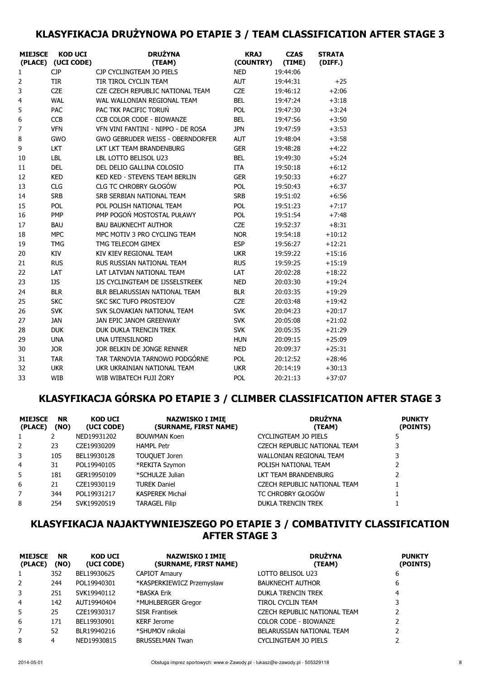#### KLASYFIKACJA DRUŻYNOWA PO ETAPIE 3 / TEAM CLASSIFICATION AFTER STAGE 3

| <b>MIEJSCE</b> | <b>KOD UCI</b><br>(PLACE) (UCI CODE) | <b>DRUŻYNA</b><br>(TEAM)                | <b>KRAJ</b><br>(COUNTRY) | <b>CZAS</b><br>(TIME) | <b>STRATA</b><br>(DIFF.) |
|----------------|--------------------------------------|-----------------------------------------|--------------------------|-----------------------|--------------------------|
| $\mathbf{1}$   | <b>CJP</b>                           | CJP CYCLINGTEAM JO PIELS                | <b>NED</b>               | 19:44:06              |                          |
| 2              | <b>TIR</b>                           | TIR TIROL CYCLIN TEAM                   | <b>AUT</b>               | 19:44:31              | $+25$                    |
| 3              | <b>CZE</b>                           | CZE CZECH REPUBLIC NATIONAL TEAM        | <b>CZE</b>               | 19:46:12              | $+2:06$                  |
| 4              | <b>WAL</b>                           | WAL WALLONIAN REGIONAL TEAM             | <b>BEL</b>               | 19:47:24              | $+3:18$                  |
| 5              | <b>PAC</b>                           | PAC TKK PACIFIC TORUŃ                   | <b>POL</b>               | 19:47:30              | $+3:24$                  |
| 6              | <b>CCB</b>                           | <b>CCB COLOR CODE - BIOWANZE</b>        | <b>BEL</b>               | 19:47:56              | $+3:50$                  |
| 7              | <b>VFN</b>                           | VFN VINI FANTINI - NIPPO - DE ROSA      | <b>JPN</b>               | 19:47:59              | $+3:53$                  |
| 8              | GWO                                  | <b>GWO GEBRUDER WEISS - OBERNDORFER</b> | <b>AUT</b>               | 19:48:04              | $+3:58$                  |
| 9              | LKT                                  | LKT LKT TEAM BRANDENBURG                | <b>GER</b>               | 19:48:28              | $+4:22$                  |
| 10             | <b>LBL</b>                           | LBL LOTTO BELISOL U23                   | <b>BEL</b>               | 19:49:30              | $+5:24$                  |
| 11             | <b>DEL</b>                           | DEL DELIO GALLINA COLOSIO               | <b>ITA</b>               | 19:50:18              | $+6:12$                  |
| 12             | <b>KED</b>                           | KED KED - STEVENS TEAM BERLIN           | <b>GER</b>               | 19:50:33              | $+6:27$                  |
| 13             | <b>CLG</b>                           | <b>CLG TC CHROBRY GŁOGÓW</b>            | <b>POL</b>               | 19:50:43              | $+6:37$                  |
| 14             | <b>SRB</b>                           | SRB SERBIAN NATIONAL TEAM               | <b>SRB</b>               | 19:51:02              | $+6:56$                  |
| 15             | POL                                  | POL POLISH NATIONAL TEAM                | <b>POL</b>               | 19:51:23              | $+7:17$                  |
| 16             | <b>PMP</b>                           | PMP POGOŃ MOSTOSTAL PUŁAWY              | <b>POL</b>               | 19:51:54              | $+7:48$                  |
| 17             | <b>BAU</b>                           | <b>BAU BAUKNECHT AUTHOR</b>             | <b>CZE</b>               | 19:52:37              | $+8:31$                  |
| 18             | <b>MPC</b>                           | MPC MOTIV 3 PRO CYCLING TEAM            | <b>NOR</b>               | 19:54:18              | $+10:12$                 |
| 19             | <b>TMG</b>                           | TMG TELECOM GIMEX                       | <b>ESP</b>               | 19:56:27              | $+12:21$                 |
| 20             | KIV                                  | KIV KIEV REGIONAL TEAM                  | <b>UKR</b>               | 19:59:22              | $+15:16$                 |
| 21             | <b>RUS</b>                           | RUS RUSSIAN NATIONAL TEAM               | <b>RUS</b>               | 19:59:25              | $+15:19$                 |
| 22             | LAT                                  | LAT LATVIAN NATIONAL TEAM               | LAT                      | 20:02:28              | $+18:22$                 |
| 23             | <b>IJS</b>                           | IJS CYCLINGTEAM DE IJSSELSTREEK         | <b>NED</b>               | 20:03:30              | $+19:24$                 |
| 24             | <b>BLR</b>                           | BLR BELARUSSIAN NATIONAL TEAM           | <b>BLR</b>               | 20:03:35              | $+19:29$                 |
| 25             | <b>SKC</b>                           | <b>SKC SKC TUFO PROSTEJOV</b>           | <b>CZE</b>               | 20:03:48              | $+19:42$                 |
| 26             | <b>SVK</b>                           | SVK SLOVAKIAN NATIONAL TEAM             | <b>SVK</b>               | 20:04:23              | $+20:17$                 |
| 27             | <b>JAN</b>                           | JAN EPIC JANOM GREENWAY                 | <b>SVK</b>               | 20:05:08              | $+21:02$                 |
| 28             | <b>DUK</b>                           | DUK DUKLA TRENCIN TREK                  | <b>SVK</b>               | 20:05:35              | $+21:29$                 |
| 29             | <b>UNA</b>                           | <b>UNA UTENSILNORD</b>                  | <b>HUN</b>               | 20:09:15              | $+25:09$                 |
| 30             | <b>JOR</b>                           | JOR BELKIN DE JONGE RENNER              | <b>NED</b>               | 20:09:37              | $+25:31$                 |
| 31             | <b>TAR</b>                           | TAR TARNOVIA TARNOWO PODGÓRNE           | <b>POL</b>               | 20:12:52              | $+28:46$                 |
| 32             | <b>UKR</b>                           | UKR UKRAINIAN NATIONAL TEAM             | <b>UKR</b>               | 20:14:19              | $+30:13$                 |
| 33             | <b>WIB</b>                           | WIB WIBATECH FUJI ŻORY                  | <b>POL</b>               | 20:21:13              | $+37:07$                 |

#### KLASYFIKACJA GÓRSKA PO ETAPIE 3 / CLIMBER CLASSIFICATION AFTER STAGE 3

| <b>MIEJSCE</b><br>(PLACE) | <b>NR</b><br>(NO) | <b>KOD UCI</b><br>(UCI CODE) | <b>NAZWISKO I IMIĘ</b><br>(SURNAME, FIRST NAME) | <b>DRUŻYNA</b><br>(TEAM)     | <b>PUNKTY</b><br>(POINTS) |
|---------------------------|-------------------|------------------------------|-------------------------------------------------|------------------------------|---------------------------|
| 1                         |                   | NED19931202                  | <b>BOUWMAN Koen</b>                             | CYCLINGTEAM JO PIELS         |                           |
| 2                         | 23                | CZE19930209                  | <b>HAMPL Petr</b>                               | CZECH REPUBLIC NATIONAL TEAM | 3                         |
| 3                         | 105               | BEL19930128                  | TOUQUET Joren                                   | WALLONIAN REGIONAL TEAM      | 3                         |
| 4                         | 31                | POL19940105                  | *REKITA Szymon                                  | POLISH NATIONAL TEAM         |                           |
| 5                         | 181               | GER19950109                  | *SCHULZE Julian                                 | LKT TEAM BRANDENBURG         |                           |
| 6                         | 21                | CZE19930119                  | <b>TUREK Daniel</b>                             | CZECH REPUBLIC NATIONAL TEAM |                           |
| 7                         | 344               | POL19931217                  | <b>KASPEREK Michał</b>                          | TC CHROBRY GŁOGÓW            |                           |
| 8                         | 254               | SVK19920519                  | <b>TARAGEL Filip</b>                            | <b>DUKLA TRENCIN TREK</b>    |                           |

#### KLASYFIKACJA NAJAKTYWNIEJSZEGO PO ETAPIE 3 / COMBATIVITY CLASSIFICATION AFTER STAGE 3

| <b>MIEJSCE</b><br>(PLACE) | <b>NR</b><br>(NO) | <b>KOD UCI</b><br>(UCI CODE) | <b>NAZWISKO I IMIĘ</b><br>(SURNAME, FIRST NAME) | <b>DRUŻYNA</b><br>(TEAM)     | <b>PUNKTY</b><br>(POINTS) |
|---------------------------|-------------------|------------------------------|-------------------------------------------------|------------------------------|---------------------------|
| 1                         | 352               | BEL19930625                  | <b>CAPIOT Amaury</b>                            | LOTTO BELISOL U23            | 6                         |
| $\overline{2}$            | 244               | POL19940301                  | *KASPERKIEWICZ Przemysław                       | <b>BAUKNECHT AUTHOR</b>      | 6                         |
| 3                         | 251               | SVK19940112                  | *BASKA Erik                                     | <b>DUKLA TRENCIN TREK</b>    | 4                         |
| 4                         | 142               | AUT19940404                  | *MUHLBERGER Gregor                              | TIROL CYCLIN TEAM            | 3                         |
| 5.                        | 25                | CZE19930317                  | <b>SISR Frantisek</b>                           | CZECH REPUBLIC NATIONAL TEAM |                           |
| 6                         | 171               | BEL19930901                  | <b>KERF Jerome</b>                              | <b>COLOR CODE - BIOWANZE</b> |                           |
|                           | 52                | BLR19940216                  | *SHUMOV nikolai                                 | BELARUSSIAN NATIONAL TEAM    |                           |
| 8                         | 4                 | NED19930815                  | <b>BRUSSELMAN Twan</b>                          | CYCLINGTEAM JO PIELS         |                           |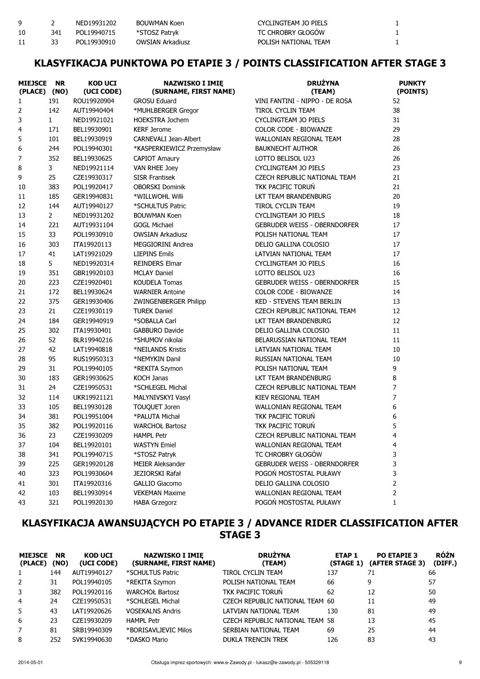| Q  |     | NFD19931202 | BOUWMAN Koen     | CYCLINGTEAM JO PIELS |  |
|----|-----|-------------|------------------|----------------------|--|
| 10 | 341 | POL19940715 | *STOSZ Patryk    | TC CHROBRY GŁOGÓW    |  |
|    |     | POL19930910 | OWSIAN Arkadiusz | POLISH NATIONAL TEAM |  |

#### KLASYFIKACJA PUNKTOWA PO ETAPIE 3 / POINTS CLASSIFICATION AFTER STAGE 3

| <b>MIEJSCE</b><br>(PLACE) (NO) | <b>NR</b>      | <b>KOD UCI</b><br>(UCI CODE) | <b>NAZWISKO I IMIĘ</b><br>(SURNAME, FIRST NAME) | <b>DRUŻYNA</b><br>(TEAM)            | <b>PUNKTY</b><br>(POINTS) |
|--------------------------------|----------------|------------------------------|-------------------------------------------------|-------------------------------------|---------------------------|
| 1                              | 191            | ROU19920904                  | <b>GROSU Eduard</b>                             | VINI FANTINI - NIPPO - DE ROSA      | 52                        |
| 2                              | 142            | AUT19940404                  | *MUHLBERGER Gregor                              | TIROL CYCLIN TEAM                   | 38                        |
| 3                              | $\mathbf{1}$   | NED19921021                  | <b>HOEKSTRA Jochem</b>                          | <b>CYCLINGTEAM JO PIELS</b>         | 31                        |
| 4                              | 171            | BEL19930901                  | <b>KERF Jerome</b>                              | <b>COLOR CODE - BIOWANZE</b>        | 29                        |
| 5                              | 101            | BEL19930919                  | CARNEVALI Jean-Albert                           | WALLONIAN REGIONAL TEAM             | 28                        |
| 6                              | 244            | POL19940301                  | *KASPERKIEWICZ Przemysław                       | <b>BAUKNECHT AUTHOR</b>             | 26                        |
| 7                              | 352            | BEL19930625                  | <b>CAPIOT Amaury</b>                            | LOTTO BELISOL U23                   | 26                        |
| 8                              | 3              | NED19921114                  | <b>VAN RHEE Joey</b>                            | <b>CYCLINGTEAM JO PIELS</b>         | 23                        |
| 9                              | 25             | CZE19930317                  | <b>SISR Frantisek</b>                           | CZECH REPUBLIC NATIONAL TEAM        | 21                        |
| 10                             | 383            | POL19920417                  | <b>OBORSKI Dominik</b>                          | TKK PACIFIC TORUN                   | 21                        |
| 11                             | 185            | GER19940831                  | *WILLWOHL Willi                                 | LKT TEAM BRANDENBURG                | 20                        |
| 12                             | 144            | AUT19940127                  | *SCHULTUS Patric                                | TIROL CYCLIN TEAM                   | 19                        |
| 13                             | $\overline{2}$ | NED19931202                  | <b>BOUWMAN Koen</b>                             | <b>CYCLINGTEAM JO PIELS</b>         | 18                        |
| 14                             | 221            | AUT19931104                  | <b>GOGL Michael</b>                             | <b>GEBRUDER WEISS - OBERNDORFER</b> | 17                        |
| 15                             | 33             | POL19930910                  | <b>OWSIAN Arkadiusz</b>                         | POLISH NATIONAL TEAM                | 17                        |
| 16                             | 303            | ITA19920113                  | <b>MEGGIORINI Andrea</b>                        | DELIO GALLINA COLOSIO               | 17                        |
| 17                             | 41             | LAT19921029                  | <b>LIEPINS Emils</b>                            | LATVIAN NATIONAL TEAM               | 17                        |
| 18                             | 5              | NED19920314                  | <b>REINDERS Elmar</b>                           | CYCLINGTEAM JO PIELS                | 16                        |
| 19                             | 351            | GBR19920103                  | <b>MCLAY Daniel</b>                             | LOTTO BELISOL U23                   | 16                        |
| 20                             | 223            | CZE19920401                  | <b>KOUDELA Tomas</b>                            | <b>GEBRUDER WEISS - OBERNDORFER</b> | 15                        |
| 21                             | 172            | BEL19930624                  | <b>WARNIER Antoine</b>                          | COLOR CODE - BIOWANZE               | 14                        |
| 22                             | 375            | GER19930406                  | <b>ZWINGENBERGER Philipp</b>                    | KED - STEVENS TEAM BERLIN           | 13                        |
| 23                             | 21             | CZE19930119                  | <b>TUREK Daniel</b>                             | <b>CZECH REPUBLIC NATIONAL TEAM</b> | 12                        |
| 24                             | 184            | GER19940919                  | *SOBALLA Carl                                   | LKT TEAM BRANDENBURG                | 12                        |
| 25                             | 302            | ITA19930401                  | <b>GABBURO Davide</b>                           | DELIO GALLINA COLOSIO               | 11                        |
| 26                             | 52             | BLR19940216                  | *SHUMOV nikolai                                 | BELARUSSIAN NATIONAL TEAM           | 11                        |
| 27                             | 42             | LAT19940818                  | *NEILANDS Kristis                               | LATVIAN NATIONAL TEAM               | 10                        |
| 28                             | 95             | RUS19950313                  | *NEMYKIN Danil                                  | RUSSIAN NATIONAL TEAM               | 10                        |
| 29                             | 31             | POL19940105                  | *REKITA Szymon                                  | POLISH NATIONAL TEAM                | 9                         |
| 30                             | 183            | GER19930625                  | <b>KOCH Janas</b>                               | LKT TEAM BRANDENBURG                | 8                         |
| 31                             | 24             | CZE19950531                  | *SCHLEGEL Michal                                | CZECH REPUBLIC NATIONAL TEAM        | $\overline{7}$            |
| 32                             | 114            | UKR19921121                  | MALYNIVSKYI Vasyl                               | KIEV REGIONAL TEAM                  | $\overline{7}$            |
| 33                             | 105            | BEL19930128                  | TOUQUET Joren                                   | WALLONIAN REGIONAL TEAM             | 6                         |
| 34                             | 381            | POL19951004                  | *PALUTA Michał                                  | <b>TKK PACIFIC TORUŃ</b>            | 6                         |
| 35                             | 382            | POL19920116                  | <b>WARCHOŁ Bartosz</b>                          | TKK PACIFIC TORUN                   | 5                         |
| 36                             | 23             | CZE19930209                  | <b>HAMPL Petr</b>                               | CZECH REPUBLIC NATIONAL TEAM        | 4                         |
| 37                             | 104            | BEL19920101                  | <b>WASTYN Emiel</b>                             | WALLONIAN REGIONAL TEAM             | $\overline{4}$            |
| 38                             | 341            | POL19940715                  | *STOSZ Patryk                                   | TC CHROBRY GŁOGÓW                   | 3                         |
| 39                             | 225            | GER19920128                  | MEIER Aleksander                                | <b>GEBRUDER WEISS - OBERNDORFER</b> | 3                         |
| 40                             | 323            | POL19930604                  | JEZIORSKI Rafał                                 | POGOŃ MOSTOSTAL PUŁAWY              | 3                         |
| 41                             | 301            | ITA19920316                  | <b>GALLIO Giacomo</b>                           | DELIO GALLINA COLOSIO               | $\overline{2}$            |
| 42                             | 103            | BEL19930914                  | <b>VEKEMAN Maxime</b>                           | WALLONIAN REGIONAL TEAM             | 2                         |
| 43                             | 321            | POL19920130                  | <b>HABA Grzegorz</b>                            | POGOŃ MOSTOSTAL PUŁAWY              | 1                         |

#### KLASYFIKACJA AWANSUJĄCYCH PO ETAPIE 3 / ADVANCE RIDER CLASSIFICATION AFTER STAGE 3

| <b>MIEJSCE</b><br>(PLACE) | <b>NR</b><br>(NO) | <b>KOD UCI</b><br>(UCI CODE) | <b>NAZWISKO I IMIE</b><br>(SURNAME, FIRST NAME) | <b>DRUŻYNA</b><br>(TEAM)               | <b>ETAP1</b><br>(STAGE 1) | <b>PO ETAPIE 3</b><br>(AFTER STAGE 3) | <b>RÓŻN</b><br>(DIFF.) |
|---------------------------|-------------------|------------------------------|-------------------------------------------------|----------------------------------------|---------------------------|---------------------------------------|------------------------|
|                           | 144               | AUT19940127                  | *SCHULTUS Patric                                | TIROL CYCLIN TEAM                      | 137                       | 71                                    | 66                     |
| $\mathbf{2}$              | 31                | POL19940105                  | *REKITA Szymon                                  | POLISH NATIONAL TEAM                   | 66                        | 9                                     | 57                     |
| 3                         | 382               | POL19920116                  | <b>WARCHOŁ Bartosz</b>                          | TKK PACIFIC TORUN                      | 62                        | 12                                    | 50                     |
| 4                         | 24                | CZE19950531                  | *SCHLEGEL Michal                                | CZECH REPUBLIC NATIONAL TEAM 60        |                           | 11                                    | 49                     |
| 5                         | 43                | LAT19920626                  | <b>VOSEKALNS Andris</b>                         | LATVIAN NATIONAL TEAM                  | 130                       | 81                                    | 49                     |
| 6                         | 23                | CZE19930209                  | <b>HAMPL Petr</b>                               | <b>CZECH REPUBLIC NATIONAL TEAM 58</b> |                           | 13                                    | 45                     |
|                           | 81                | SRB19940309                  | *BORISAVLJEVIC Milos                            | SERBIAN NATIONAL TEAM                  | 69                        | 25                                    | 44                     |
| 8                         | 252               | SVK19940630                  | *DASKO Mario                                    | <b>DUKLA TRENCIN TREK</b>              | 126                       | 83                                    | 43                     |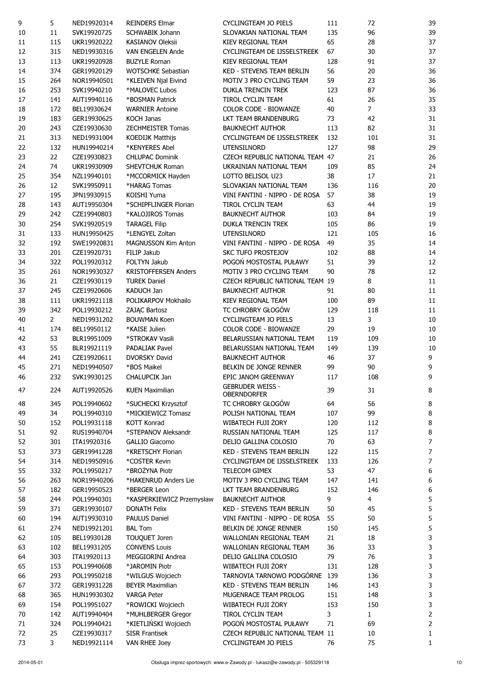| 9      | 5              | NED19920314                | <b>REINDERS Elmar</b>       | <b>CYCLINGTEAM JO PIELS</b>      | 111 | 72             | 39               |
|--------|----------------|----------------------------|-----------------------------|----------------------------------|-----|----------------|------------------|
| $10\,$ | 11             | SVK19920725                | <b>SCHWABIK Johann</b>      | SLOVAKIAN NATIONAL TEAM          | 135 | 96             | 39               |
| $11\,$ | 115            | UKR19920222                | <b>KASIANOV Oleksii</b>     | KIEV REGIONAL TEAM               | 65  | 28             | 37               |
| 12     | 315            | NED19930316                | VAN ENGELEN Ande            | CYCLINGTEAM DE IJSSELSTREEK      | 67  | 30             | 37               |
| 13     | 113            | UKR19920928                | <b>BUZYLE Roman</b>         | KIEV REGIONAL TEAM               | 128 | 91             | 37               |
| 14     | 374            | GER19920129                | <b>WOTSCHKE Sebastian</b>   | <b>KED - STEVENS TEAM BERLIN</b> | 56  | 20             | 36               |
| 15     | 264            | NOR19940501                | *KLEIVEN Njal Eivind        | MOTIV 3 PRO CYCLING TEAM         | 59  | 23             | 36               |
| 16     | 253            | SVK19940210                | *MALOVEC Lubos              | <b>DUKLA TRENCIN TREK</b>        | 123 | 87             | 36               |
| 17     | 141            | AUT19940116                | *BOSMAN Patrick             | TIROL CYCLIN TEAM                | 61  | 26             | 35               |
| 18     | 172            | BEL19930624                | <b>WARNIER Antoine</b>      | COLOR CODE - BIOWANZE            | 40  | $\overline{7}$ | 33               |
| 19     | 183            | GER19930625                | <b>KOCH Janas</b>           | LKT TEAM BRANDENBURG             | 73  | 42             | 31               |
| 20     | 243            | CZE19930630                | <b>ZECHMEISTER Tomas</b>    | <b>BAUKNECHT AUTHOR</b>          | 113 | 82             | 31               |
| 21     | 313            | NED19931004                | <b>KOEDIJK Matthijs</b>     | CYCLINGTEAM DE IJSSELSTREEK      | 132 | 101            | 31               |
| 22     | 132            | HUN19940214                | *KENYERES Abel              | <b>UTENSILNORD</b>               | 127 | 98             | 29               |
| 23     | 22             | CZE19930823                | <b>CHLUPAC Dominik</b>      | CZECH REPUBLIC NATIONAL TEAM 47  |     | 21             | 26               |
| 24     | 74             | UKR19930909                | SHEVTCHUK Roman             | UKRAINIAN NATIONAL TEAM          | 109 | 85             | 24               |
| 25     | 354            | NZL19940101                | *MCCORMICK Hayden           | LOTTO BELISOL U23                | 38  | 17             | 21               |
| 26     | 12             | SVK19950911                | *HARAG Tomas                | SLOVAKIAN NATIONAL TEAM          | 136 | 116            | 20               |
| 27     | 195            | JPN19930915                | <b>KOISHI Yuma</b>          | VINI FANTINI - NIPPO - DE ROSA   | 57  | 38             | 19               |
|        |                |                            |                             |                                  |     |                |                  |
| 28     | 143            | AUT19950304<br>CZE19940803 | *SCHIPFLINGER Florian       | <b>TIROL CYCLIN TEAM</b>         | 63  | 44             | 19               |
| 29     | 242            |                            | *KALOJIROS Tomas            | <b>BAUKNECHT AUTHOR</b>          | 103 | 84             | 19               |
| 30     | 254            | SVK19920519                | <b>TARAGEL Filip</b>        | <b>DUKLA TRENCIN TREK</b>        | 105 | 86             | 19               |
| 31     | 133            | HUN19950425                | *LENGYEL Zoltan             | <b>UTENSILNORD</b>               | 121 | 105            | 16               |
| 32     | 192            | SWE19920831                | MAGNUSSON Kim Anton         | VINI FANTINI - NIPPO - DE ROSA   | 49  | 35             | 14               |
| 33     | 201            | CZE19920731                | FILIP Jakub                 | SKC TUFO PROSTEJOV               | 102 | 88             | 14               |
| 34     | 322            | POL19920312                | FOLTYN Jakub                | POGOŃ MOSTOSTAL PUŁAWY           | 51  | 39             | 12               |
| 35     | 261            | NOR19930327                | <b>KRISTOFFERSEN Anders</b> | MOTIV 3 PRO CYCLING TEAM         | 90  | 78             | 12               |
| 36     | 21             | CZE19930119                | <b>TUREK Daniel</b>         | CZECH REPUBLIC NATIONAL TEAM 19  |     | 8              | 11               |
| 37     | 245            | CZE19920606                | <b>KADUCH Jan</b>           | <b>BAUKNECHT AUTHOR</b>          | 91  | 80             | 11               |
| 38     | 111            | UKR19921118                | POLIKARPOV Mokhailo         | KIEV REGIONAL TEAM               | 100 | 89             | 11               |
| 39     | 342            | POL19930212                | ZAJĄC Bartosz               | TC CHROBRY GŁOGÓW                | 129 | 118            | 11               |
| 40     | $\overline{2}$ | NED19931202                | <b>BOUWMAN Koen</b>         | <b>CYCLINGTEAM JO PIELS</b>      | 13  | 3              | 10               |
| 41     | 174            | BEL19950112                | *KAISE Julien               | COLOR CODE - BIOWANZE            | 29  | 19             | 10               |
| 42     | 53             | BLR19951009                | *STROKAV Vasili             | BELARUSSIAN NATIONAL TEAM        | 119 | 109            | 10               |
| 43     | 55             | BLR19921119                | <b>PADALIAK Pavel</b>       | BELARUSSIAN NATIONAL TEAM        | 149 | 139            | 10               |
| 44     | 241            | CZE19920611                | <b>DVORSKY David</b>        | <b>BAUKNECHT AUTHOR</b>          | 46  | 37             | 9                |
| 45     | 271            | NED19940507                | *BOS Maikel                 | BELKIN DE JONGE RENNER           | 99  | 90             | $\boldsymbol{9}$ |
| 46     | 232            | SVK19930125                | CHALUPCIK Jan               | EPIC JANOM GREENWAY              | 117 | 108            | 9                |
|        |                |                            |                             | <b>GEBRUDER WEISS -</b>          |     |                |                  |
| 47     | 224            | AUT19920526                | <b>KUEN Maximilian</b>      | <b>OBERNDORFER</b>               | 39  | 31             | 8                |
| 48     | 345            | POL19940602                | *SUCHECKI Krzysztof         | TC CHROBRY GŁOGÓW                | 64  | 56             | 8                |
| 49     | 34             | POL19940310                | *MICKIEWICZ Tomasz          | POLISH NATIONAL TEAM             | 107 | 99             | $\bf 8$          |
| 50     | 152            | POL19931118                | <b>KOTT Konrad</b>          | WIBATECH FUJI ŻORY               | 120 | 112            | $\bf 8$          |
| 51     | 92             | RUS19940704                | *STEPANOV Aleksandr         | RUSSIAN NATIONAL TEAM            | 125 | 117            | $\bf 8$          |
| 52     | 301            | ITA19920316                | <b>GALLIO Giacomo</b>       | DELIO GALLINA COLOSIO            | 70  | 63             | $\boldsymbol{7}$ |
| 53     | 373            | GER19941228                | *KRETSCHY Florian           | <b>KED - STEVENS TEAM BERLIN</b> | 122 | 115            | $\boldsymbol{7}$ |
| 54     | 314            | NED19950916                | *COSTER Kevin               | CYCLINGTEAM DE IJSSELSTREEK      | 133 | 126            | $\boldsymbol{7}$ |
| 55     | 332            | POL19950217                | *BROŻYNA Piotr              | TELECOM GIMEX                    | 53  | 47             | $\boldsymbol{6}$ |
| 56     | 263            | NOR19940206                | *HAKENRUD Anders Lie        | MOTIV 3 PRO CYCLING TEAM         | 147 | 141            | $\boldsymbol{6}$ |
| 57     | 182            | GER19950523                | *BERGER Leon                | LKT TEAM BRANDENBURG             | 152 | 146            | $\boldsymbol{6}$ |
| 58     | 244            | POL19940301                | *KASPERKIEWICZ Przemysław   | <b>BAUKNECHT AUTHOR</b>          | 9   | 4              | 5                |
| 59     | 371            | GER19930107                | <b>DONATH Felix</b>         | <b>KED - STEVENS TEAM BERLIN</b> | 50  | 45             | 5                |
| 60     | 194            | AUT19930310                | <b>PAULUS Daniel</b>        | VINI FANTINI - NIPPO - DE ROSA   | 55  | 50             | 5                |
| 61     | 274            | NED19921201                | <b>BAL Tom</b>              | BELKIN DE JONGE RENNER           | 150 | 145            | 5                |
|        |                |                            |                             | WALLONIAN REGIONAL TEAM          |     |                |                  |
| 62     | 105            | BEL19930128                | TOUQUET Joren               |                                  | 21  | 18             | 3                |
| 63     | 102            | BEL19931205                | <b>CONVENS Louis</b>        | WALLONIAN REGIONAL TEAM          | 36  | 33             | 3                |
| 64     | 303            | ITA19920113                | MEGGIORINI Andrea           | DELIO GALLINA COLOSIO            | 79  | 76             | 3                |
| 65     | 153            | POL19940608                | *JAROMIN Piotr              | WIBATECH FUJI ŻORY               | 131 | 128            | 3                |
| 66     | 293            | POL19950218                | *WILGUS Wojciech            | TARNOVIA TARNOWO PODGÓRNE        | 139 | 136            | 3                |
| 67     | 372            | GER19931228                | <b>BEYER Maximilian</b>     | KED - STEVENS TEAM BERLIN        | 146 | 143            | $\mathsf 3$      |
| 68     | 365            | HUN19930302                | <b>VARGA Peter</b>          | MUGENRACE TEAM PROLOG            | 151 | 148            | $\mathbf{3}$     |
| 69     |                | POL19951027                | *ROWICKI Wojciech           | WIBATECH FUJI ŻORY               | 153 | 150            | 3                |
|        | 154            |                            |                             |                                  |     |                |                  |
| 70     | 142            | AUT19940404                | *MUHLBERGER Gregor          | TIROL CYCLIN TEAM                | 3   | $\mathbf{1}$   | $\mathbf 2$      |
| 71     | 324            | POL19940421                | *KIETLIŃSKI Wojciech        | POGOŃ MOSTOSTAL PUŁAWY           | 71  | 69             | $\mathbf{2}$     |
| 72     | 25             | CZE19930317                | <b>SISR Frantisek</b>       | CZECH REPUBLIC NATIONAL TEAM 11  |     | 10             | 1                |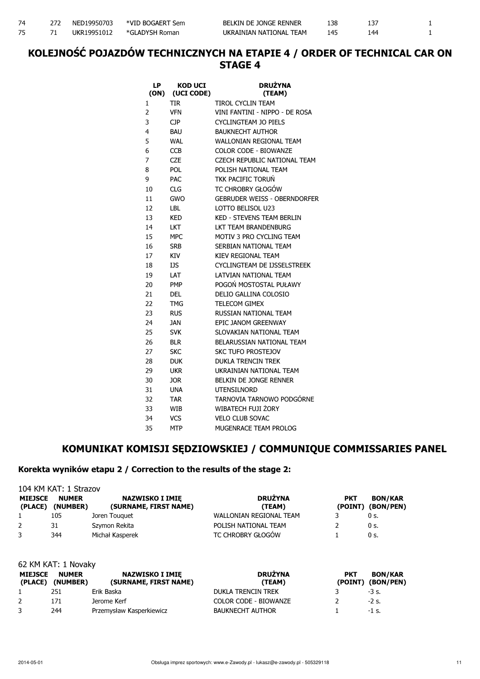### KOLEJNOŚĆ POJAZDÓW TECHNICZNYCH NA ETAPIE 4 / ORDER OF TECHNICAL CAR ON STAGE 4

| LP<br>(ON) | <b>KOD UCI</b><br>(UCI CODE) | <b>DRUŽYNA</b><br>(TEAM)            |
|------------|------------------------------|-------------------------------------|
| 1          | <b>TIR</b>                   | TIROL CYCLIN TEAM                   |
| 2          | <b>VFN</b>                   | VINI FANTINI - NIPPO - DE ROSA      |
| 3          | CJP                          | CYCLINGTEAM JO PIELS                |
| 4          | <b>BAU</b>                   | <b>BAUKNECHT AUTHOR</b>             |
| 5          | WAL                          | WALLONIAN REGIONAL TEAM             |
| 6          | CCB                          | <b>COLOR CODE - BIOWANZE</b>        |
| 7          | CZE                          | CZECH REPUBLIC NATIONAL TEAM        |
| 8          | <b>POL</b>                   | POLISH NATIONAL TEAM                |
| 9          | PAC                          | TKK PACIFIC TORUŃ                   |
| 10         | CLG                          | TC CHROBRY GŁOGÓW                   |
| 11         | GWO                          | <b>GEBRUDER WEISS - OBERNDORFER</b> |
| 12         | LBL                          | <b>LOTTO BELISOL U23</b>            |
| 13         | KED                          | KED - STEVENS TEAM BERLIN           |
| 14         | LKT                          | LKT TEAM BRANDENBURG                |
| 15         | MPC                          | MOTIV 3 PRO CYCLING TEAM            |
| 16         | <b>SRB</b>                   | SERBIAN NATIONAL TEAM               |
| 17         | KIV                          | KIEV REGIONAL TEAM                  |
| 18         | IJS                          | CYCLINGTEAM DE IJSSELSTREEK         |
| 19         | LAT                          | LATVIAN NATIONAL TEAM               |
| 20         | <b>PMP</b>                   | POGOŃ MOSTOSTAL PUŁAWY              |
| 21         | <b>DEL</b>                   | DELIO GALLINA COLOSIO               |
| 22         | TMG                          | <b>TELECOM GIMEX</b>                |
| 23         | <b>RUS</b>                   | RUSSIAN NATIONAL TEAM               |
| 24         | JAN                          | FPIC JANOM GRFFNWAY                 |
| 25         | <b>SVK</b>                   | SLOVAKIAN NATIONAL TEAM             |
| 26         | <b>BLR</b>                   | BELARUSSIAN NATIONAL TEAM           |
| 27         | <b>SKC</b>                   | <b>SKC TUFO PROSTEJOV</b>           |
| 28         | <b>DUK</b>                   | <b>DUKLA TRENCIN TREK</b>           |
| 29         | <b>UKR</b>                   | UKRAINIAN NATIONAL TEAM             |
| 30         | <b>JOR</b>                   | <b>BELKIN DE JONGE RENNER</b>       |
| 31         | <b>UNA</b>                   | UTENSILNORD                         |
| 32         | <b>TAR</b>                   | TARNOVIA TARNOWO PODGÓRNE           |
| 33         | WIB                          | WIBATECH FUJI ŻORY                  |
| 34         | <b>VCS</b>                   | <b>VELO CLUB SOVAC</b>              |
| 35         | <b>MTP</b>                   | MUGENRACE TEAM PROLOG               |

#### KOMUNIKAT KOMISJI SĘDZIOWSKIEJ / COMMUNIQUE COMMISSARIES PANEL

#### Korekta wyników etapu 2 / Correction to the results of the stage 2:

| 104 KM KAT: 1 Strazov     |                          |                                                 |                          |                       |                             |  |  |
|---------------------------|--------------------------|-------------------------------------------------|--------------------------|-----------------------|-----------------------------|--|--|
| <b>MIEJSCE</b><br>(PLACE) | <b>NUMER</b><br>(NUMBER) | <b>NAZWISKO I IMIE</b><br>(SURNAME, FIRST NAME) | <b>DRUŻYNA</b><br>(TEAM) | <b>PKT</b><br>(POINT) | <b>BON/KAR</b><br>(BON/PEN) |  |  |
|                           | 105                      | Joren Touguet                                   | WALLONIAN REGIONAL TEAM  |                       | 0 s.                        |  |  |
| 2                         | 31                       | Szymon Rekita                                   | POLISH NATIONAL TEAM     |                       | 0 s.                        |  |  |
| 3                         | 344                      | Michał Kasperek                                 | TC CHROBRY GŁOGÓW        |                       | 0 s.                        |  |  |

| 62 KM KAT: 1 Novaky |                                  |                                                 |                              |                       |                             |  |
|---------------------|----------------------------------|-------------------------------------------------|------------------------------|-----------------------|-----------------------------|--|
| <b>MIEJSCE</b>      | <b>NUMER</b><br>(PLACE) (NUMBER) | <b>NAZWISKO I IMIE</b><br>(SURNAME, FIRST NAME) | <b>DRUŻYNA</b><br>(TEAM)     | <b>PKT</b><br>(POINT) | <b>BON/KAR</b><br>(BON/PEN) |  |
|                     | 251                              | Erik Baska                                      | <b>DUKLA TRENCIN TREK</b>    |                       | $-3$ s.                     |  |
| 2                   | 171                              | Jerome Kerf                                     | <b>COLOR CODE - BIOWANZE</b> |                       | $-2$ s.                     |  |
| 3                   | 244                              | Przemysław Kasperkiewicz                        | <b>BAUKNECHT AUTHOR</b>      |                       | $-1$ s.                     |  |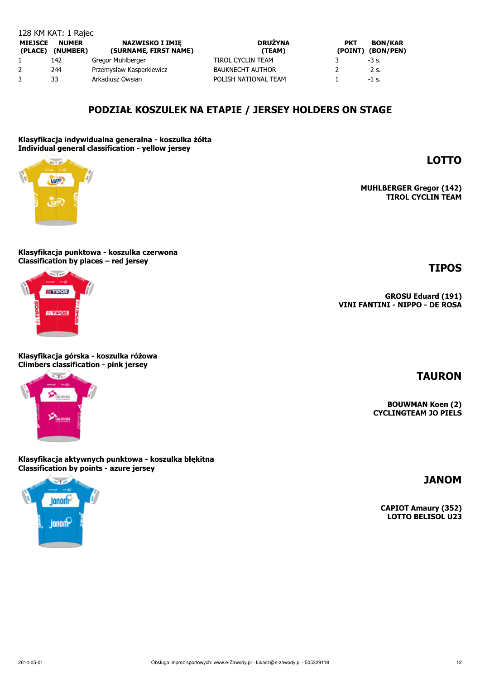| <b>MIEJSCE</b><br>(PLACE) | <b>NUMER</b><br>(NUMBER) | <b>NAZWISKO I IMIE</b><br>(SURNAME, FIRST NAME) | <b>DRUŽYNA</b><br>(TEAM) | <b>PKT</b> | <b>BON/KAR</b><br>(POINT) (BON/PEN) |
|---------------------------|--------------------------|-------------------------------------------------|--------------------------|------------|-------------------------------------|
|                           | 142                      | Gregor Muhlberger                               | TIROL CYCLIN TEAM        |            | $-3$ s.                             |
|                           | 244                      | Przemysław Kasperkiewicz                        | <b>BAUKNECHT AUTHOR</b>  |            | $-2$ s.                             |
|                           | 33                       | Arkadiusz Owsian                                | POLISH NATIONAL TEAM     |            | -1 s.                               |

#### PODZIAŁ KOSZULEK NA ETAPIE / JERSEY HOLDERS ON STAGE

Klasyfikacja indywidualna generalna - koszulka żółta Individual general classification - yellow jersey

Klasyfikacja punktowa - koszulka czerwona Classification by places – red jersey

Klasyfikacja górska - koszulka różowa Climbers classification - pink jersey

Klasyfikacja aktywnych punktowa - koszulka błękitna

Classification by points - azure jersey Se pro

# TIPOS

GROSU Eduard (191) VINI FANTINI - NIPPO - DE ROSA

CAPIOT Amaury (352) LOTTO BELISOL U23





innom-

.<br>janom



**Barrier** 

tor<sup>o</sup>

128 KM KAT: 1 Rajec

# JANOM

TAURON

BOUWMAN Koen (2) CYCLINGTEAM JO PIELS

MUHLBERGER Gregor (142) TIROL CYCLIN TEAM

LOTTO